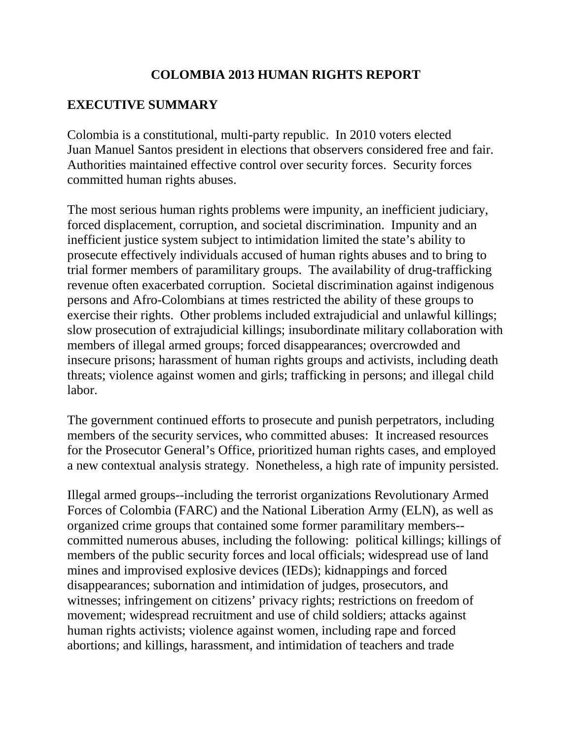## **COLOMBIA 2013 HUMAN RIGHTS REPORT**

# **EXECUTIVE SUMMARY**

Colombia is a constitutional, multi-party republic. In 2010 voters elected Juan Manuel Santos president in elections that observers considered free and fair. Authorities maintained effective control over security forces. Security forces committed human rights abuses.

The most serious human rights problems were impunity, an inefficient judiciary, forced displacement, corruption, and societal discrimination. Impunity and an inefficient justice system subject to intimidation limited the state's ability to prosecute effectively individuals accused of human rights abuses and to bring to trial former members of paramilitary groups. The availability of drug-trafficking revenue often exacerbated corruption. Societal discrimination against indigenous persons and Afro-Colombians at times restricted the ability of these groups to exercise their rights. Other problems included extrajudicial and unlawful killings; slow prosecution of extrajudicial killings; insubordinate military collaboration with members of illegal armed groups; forced disappearances; overcrowded and insecure prisons; harassment of human rights groups and activists, including death threats; violence against women and girls; trafficking in persons; and illegal child labor.

The government continued efforts to prosecute and punish perpetrators, including members of the security services, who committed abuses: It increased resources for the Prosecutor General's Office, prioritized human rights cases, and employed a new contextual analysis strategy. Nonetheless, a high rate of impunity persisted.

Illegal armed groups--including the terrorist organizations Revolutionary Armed Forces of Colombia (FARC) and the National Liberation Army (ELN), as well as organized crime groups that contained some former paramilitary members- committed numerous abuses, including the following: political killings; killings of members of the public security forces and local officials; widespread use of land mines and improvised explosive devices (IEDs); kidnappings and forced disappearances; subornation and intimidation of judges, prosecutors, and witnesses; infringement on citizens' privacy rights; restrictions on freedom of movement; widespread recruitment and use of child soldiers; attacks against human rights activists; violence against women, including rape and forced abortions; and killings, harassment, and intimidation of teachers and trade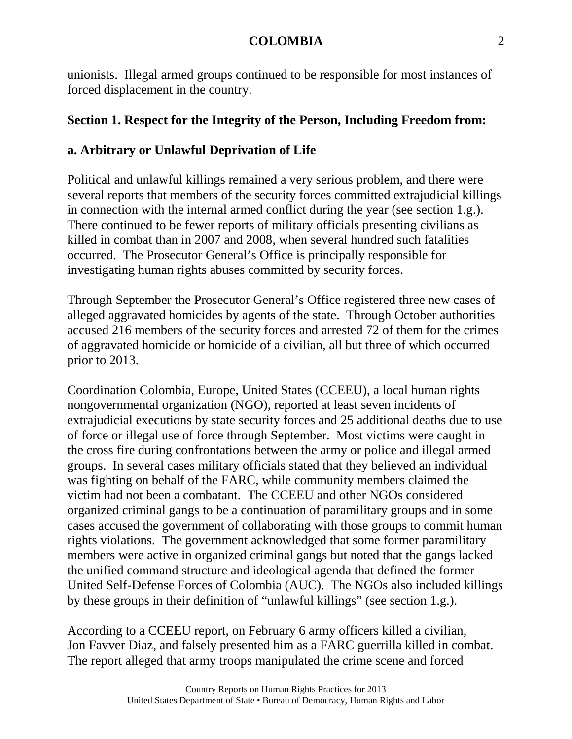unionists. Illegal armed groups continued to be responsible for most instances of forced displacement in the country.

# **Section 1. Respect for the Integrity of the Person, Including Freedom from:**

# **a. Arbitrary or Unlawful Deprivation of Life**

Political and unlawful killings remained a very serious problem, and there were several reports that members of the security forces committed extrajudicial killings in connection with the internal armed conflict during the year (see section 1.g.). There continued to be fewer reports of military officials presenting civilians as killed in combat than in 2007 and 2008, when several hundred such fatalities occurred. The Prosecutor General's Office is principally responsible for investigating human rights abuses committed by security forces.

Through September the Prosecutor General's Office registered three new cases of alleged aggravated homicides by agents of the state. Through October authorities accused 216 members of the security forces and arrested 72 of them for the crimes of aggravated homicide or homicide of a civilian, all but three of which occurred prior to 2013.

Coordination Colombia, Europe, United States (CCEEU), a local human rights nongovernmental organization (NGO), reported at least seven incidents of extrajudicial executions by state security forces and 25 additional deaths due to use of force or illegal use of force through September. Most victims were caught in the cross fire during confrontations between the army or police and illegal armed groups. In several cases military officials stated that they believed an individual was fighting on behalf of the FARC, while community members claimed the victim had not been a combatant. The CCEEU and other NGOs considered organized criminal gangs to be a continuation of paramilitary groups and in some cases accused the government of collaborating with those groups to commit human rights violations. The government acknowledged that some former paramilitary members were active in organized criminal gangs but noted that the gangs lacked the unified command structure and ideological agenda that defined the former United Self-Defense Forces of Colombia (AUC). The NGOs also included killings by these groups in their definition of "unlawful killings" (see section 1.g.).

According to a CCEEU report, on February 6 army officers killed a civilian, Jon Favver Diaz, and falsely presented him as a FARC guerrilla killed in combat. The report alleged that army troops manipulated the crime scene and forced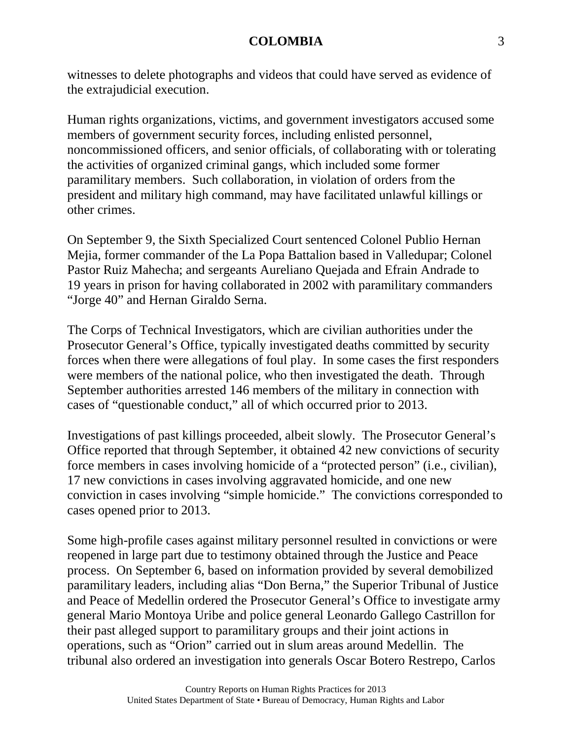witnesses to delete photographs and videos that could have served as evidence of the extrajudicial execution.

Human rights organizations, victims, and government investigators accused some members of government security forces, including enlisted personnel, noncommissioned officers, and senior officials, of collaborating with or tolerating the activities of organized criminal gangs, which included some former paramilitary members. Such collaboration, in violation of orders from the president and military high command, may have facilitated unlawful killings or other crimes.

On September 9, the Sixth Specialized Court sentenced Colonel Publio Hernan Mejia, former commander of the La Popa Battalion based in Valledupar; Colonel Pastor Ruiz Mahecha; and sergeants Aureliano Quejada and Efrain Andrade to 19 years in prison for having collaborated in 2002 with paramilitary commanders "Jorge 40" and Hernan Giraldo Serna.

The Corps of Technical Investigators, which are civilian authorities under the Prosecutor General's Office, typically investigated deaths committed by security forces when there were allegations of foul play. In some cases the first responders were members of the national police, who then investigated the death. Through September authorities arrested 146 members of the military in connection with cases of "questionable conduct," all of which occurred prior to 2013.

Investigations of past killings proceeded, albeit slowly. The Prosecutor General's Office reported that through September, it obtained 42 new convictions of security force members in cases involving homicide of a "protected person" (i.e., civilian), 17 new convictions in cases involving aggravated homicide, and one new conviction in cases involving "simple homicide." The convictions corresponded to cases opened prior to 2013.

Some high-profile cases against military personnel resulted in convictions or were reopened in large part due to testimony obtained through the Justice and Peace process. On September 6, based on information provided by several demobilized paramilitary leaders, including alias "Don Berna," the Superior Tribunal of Justice and Peace of Medellin ordered the Prosecutor General's Office to investigate army general Mario Montoya Uribe and police general Leonardo Gallego Castrillon for their past alleged support to paramilitary groups and their joint actions in operations, such as "Orion" carried out in slum areas around Medellin. The tribunal also ordered an investigation into generals Oscar Botero Restrepo, Carlos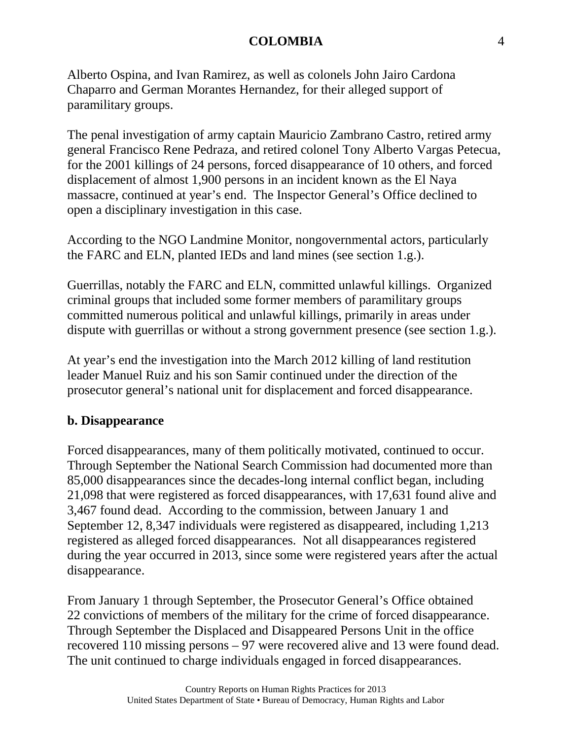Alberto Ospina, and Ivan Ramirez, as well as colonels John Jairo Cardona Chaparro and German Morantes Hernandez, for their alleged support of paramilitary groups.

The penal investigation of army captain Mauricio Zambrano Castro, retired army general Francisco Rene Pedraza, and retired colonel Tony Alberto Vargas Petecua, for the 2001 killings of 24 persons, forced disappearance of 10 others, and forced displacement of almost 1,900 persons in an incident known as the El Naya massacre, continued at year's end. The Inspector General's Office declined to open a disciplinary investigation in this case.

According to the NGO Landmine Monitor, nongovernmental actors, particularly the FARC and ELN, planted IEDs and land mines (see section 1.g.).

Guerrillas, notably the FARC and ELN, committed unlawful killings. Organized criminal groups that included some former members of paramilitary groups committed numerous political and unlawful killings, primarily in areas under dispute with guerrillas or without a strong government presence (see section 1.g.).

At year's end the investigation into the March 2012 killing of land restitution leader Manuel Ruiz and his son Samir continued under the direction of the prosecutor general's national unit for displacement and forced disappearance.

# **b. Disappearance**

Forced disappearances, many of them politically motivated, continued to occur. Through September the National Search Commission had documented more than 85,000 disappearances since the decades-long internal conflict began, including 21,098 that were registered as forced disappearances, with 17,631 found alive and 3,467 found dead. According to the commission, between January 1 and September 12, 8,347 individuals were registered as disappeared, including 1,213 registered as alleged forced disappearances. Not all disappearances registered during the year occurred in 2013, since some were registered years after the actual disappearance.

From January 1 through September, the Prosecutor General's Office obtained 22 convictions of members of the military for the crime of forced disappearance. Through September the Displaced and Disappeared Persons Unit in the office recovered 110 missing persons – 97 were recovered alive and 13 were found dead. The unit continued to charge individuals engaged in forced disappearances.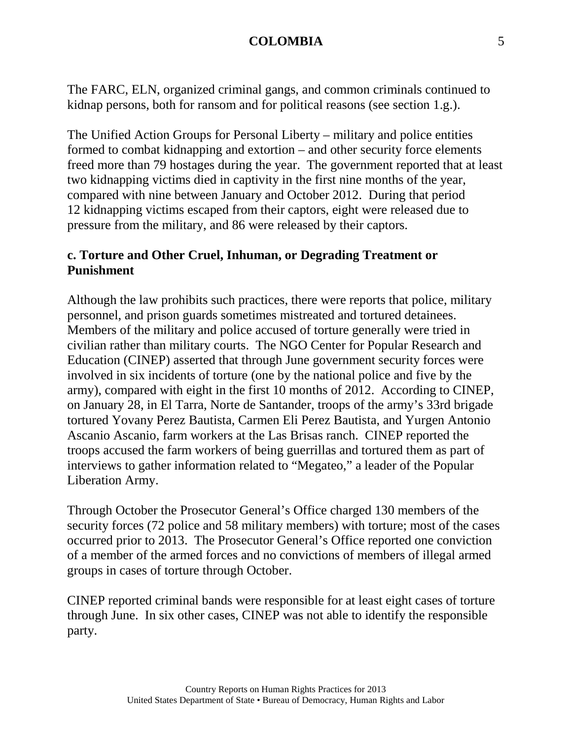The FARC, ELN, organized criminal gangs, and common criminals continued to kidnap persons, both for ransom and for political reasons (see section 1.g.).

The Unified Action Groups for Personal Liberty – military and police entities formed to combat kidnapping and extortion – and other security force elements freed more than 79 hostages during the year. The government reported that at least two kidnapping victims died in captivity in the first nine months of the year, compared with nine between January and October 2012. During that period 12 kidnapping victims escaped from their captors, eight were released due to pressure from the military, and 86 were released by their captors.

## **c. Torture and Other Cruel, Inhuman, or Degrading Treatment or Punishment**

Although the law prohibits such practices, there were reports that police, military personnel, and prison guards sometimes mistreated and tortured detainees. Members of the military and police accused of torture generally were tried in civilian rather than military courts. The NGO Center for Popular Research and Education (CINEP) asserted that through June government security forces were involved in six incidents of torture (one by the national police and five by the army), compared with eight in the first 10 months of 2012. According to CINEP, on January 28, in El Tarra, Norte de Santander, troops of the army's 33rd brigade tortured Yovany Perez Bautista, Carmen Eli Perez Bautista, and Yurgen Antonio Ascanio Ascanio, farm workers at the Las Brisas ranch. CINEP reported the troops accused the farm workers of being guerrillas and tortured them as part of interviews to gather information related to "Megateo," a leader of the Popular Liberation Army.

Through October the Prosecutor General's Office charged 130 members of the security forces (72 police and 58 military members) with torture; most of the cases occurred prior to 2013. The Prosecutor General's Office reported one conviction of a member of the armed forces and no convictions of members of illegal armed groups in cases of torture through October.

CINEP reported criminal bands were responsible for at least eight cases of torture through June. In six other cases, CINEP was not able to identify the responsible party.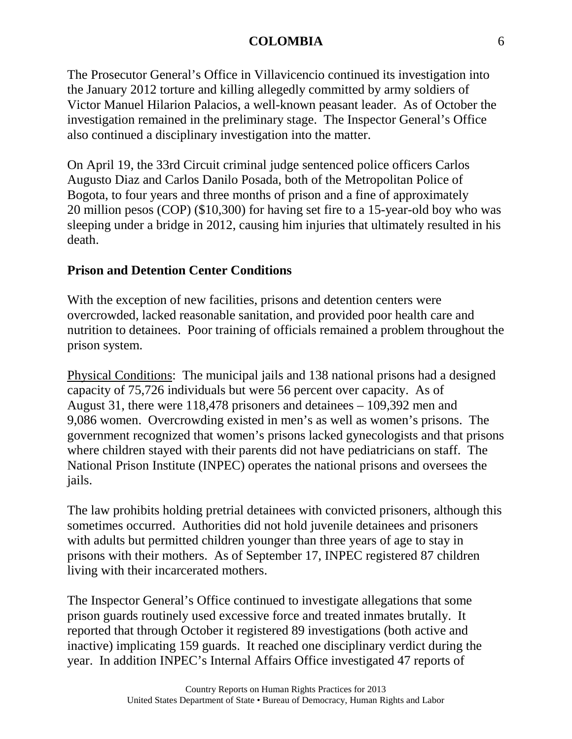The Prosecutor General's Office in Villavicencio continued its investigation into the January 2012 torture and killing allegedly committed by army soldiers of Victor Manuel Hilarion Palacios, a well-known peasant leader. As of October the investigation remained in the preliminary stage. The Inspector General's Office also continued a disciplinary investigation into the matter.

On April 19, the 33rd Circuit criminal judge sentenced police officers Carlos Augusto Diaz and Carlos Danilo Posada, both of the Metropolitan Police of Bogota, to four years and three months of prison and a fine of approximately 20 million pesos (COP) (\$10,300) for having set fire to a 15-year-old boy who was sleeping under a bridge in 2012, causing him injuries that ultimately resulted in his death.

# **Prison and Detention Center Conditions**

With the exception of new facilities, prisons and detention centers were overcrowded, lacked reasonable sanitation, and provided poor health care and nutrition to detainees. Poor training of officials remained a problem throughout the prison system.

Physical Conditions: The municipal jails and 138 national prisons had a designed capacity of 75,726 individuals but were 56 percent over capacity. As of August 31, there were 118,478 prisoners and detainees – 109,392 men and 9,086 women. Overcrowding existed in men's as well as women's prisons. The government recognized that women's prisons lacked gynecologists and that prisons where children stayed with their parents did not have pediatricians on staff. The National Prison Institute (INPEC) operates the national prisons and oversees the jails.

The law prohibits holding pretrial detainees with convicted prisoners, although this sometimes occurred. Authorities did not hold juvenile detainees and prisoners with adults but permitted children younger than three years of age to stay in prisons with their mothers. As of September 17, INPEC registered 87 children living with their incarcerated mothers.

The Inspector General's Office continued to investigate allegations that some prison guards routinely used excessive force and treated inmates brutally. It reported that through October it registered 89 investigations (both active and inactive) implicating 159 guards. It reached one disciplinary verdict during the year. In addition INPEC's Internal Affairs Office investigated 47 reports of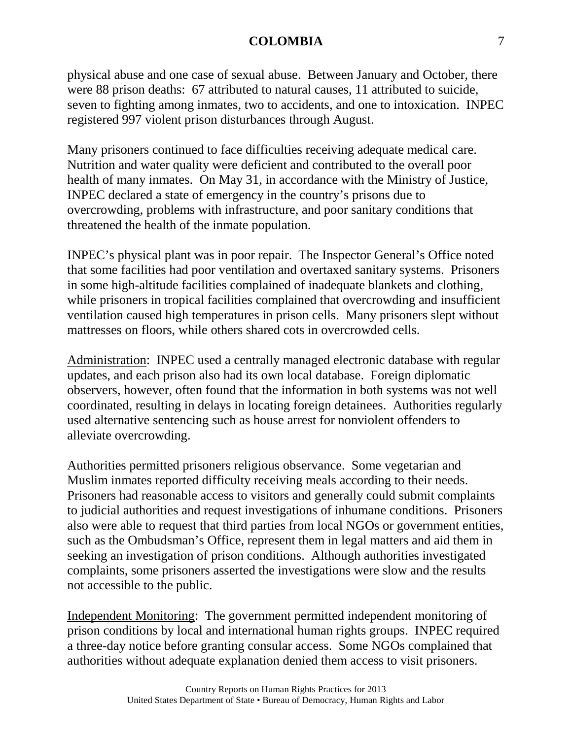physical abuse and one case of sexual abuse. Between January and October, there were 88 prison deaths: 67 attributed to natural causes, 11 attributed to suicide, seven to fighting among inmates, two to accidents, and one to intoxication. INPEC registered 997 violent prison disturbances through August.

Many prisoners continued to face difficulties receiving adequate medical care. Nutrition and water quality were deficient and contributed to the overall poor health of many inmates. On May 31, in accordance with the Ministry of Justice, INPEC declared a state of emergency in the country's prisons due to overcrowding, problems with infrastructure, and poor sanitary conditions that threatened the health of the inmate population.

INPEC's physical plant was in poor repair. The Inspector General's Office noted that some facilities had poor ventilation and overtaxed sanitary systems. Prisoners in some high-altitude facilities complained of inadequate blankets and clothing, while prisoners in tropical facilities complained that overcrowding and insufficient ventilation caused high temperatures in prison cells. Many prisoners slept without mattresses on floors, while others shared cots in overcrowded cells.

Administration: INPEC used a centrally managed electronic database with regular updates, and each prison also had its own local database. Foreign diplomatic observers, however, often found that the information in both systems was not well coordinated, resulting in delays in locating foreign detainees. Authorities regularly used alternative sentencing such as house arrest for nonviolent offenders to alleviate overcrowding.

Authorities permitted prisoners religious observance. Some vegetarian and Muslim inmates reported difficulty receiving meals according to their needs. Prisoners had reasonable access to visitors and generally could submit complaints to judicial authorities and request investigations of inhumane conditions. Prisoners also were able to request that third parties from local NGOs or government entities, such as the Ombudsman's Office, represent them in legal matters and aid them in seeking an investigation of prison conditions. Although authorities investigated complaints, some prisoners asserted the investigations were slow and the results not accessible to the public.

Independent Monitoring: The government permitted independent monitoring of prison conditions by local and international human rights groups. INPEC required a three-day notice before granting consular access. Some NGOs complained that authorities without adequate explanation denied them access to visit prisoners.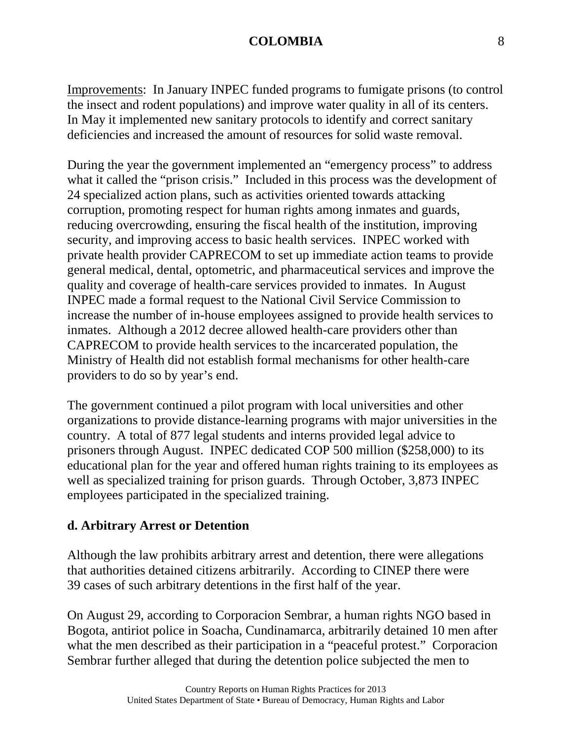Improvements: In January INPEC funded programs to fumigate prisons (to control the insect and rodent populations) and improve water quality in all of its centers. In May it implemented new sanitary protocols to identify and correct sanitary deficiencies and increased the amount of resources for solid waste removal.

During the year the government implemented an "emergency process" to address what it called the "prison crisis." Included in this process was the development of 24 specialized action plans, such as activities oriented towards attacking corruption, promoting respect for human rights among inmates and guards, reducing overcrowding, ensuring the fiscal health of the institution, improving security, and improving access to basic health services. INPEC worked with private health provider CAPRECOM to set up immediate action teams to provide general medical, dental, optometric, and pharmaceutical services and improve the quality and coverage of health-care services provided to inmates. In August INPEC made a formal request to the National Civil Service Commission to increase the number of in-house employees assigned to provide health services to inmates. Although a 2012 decree allowed health-care providers other than CAPRECOM to provide health services to the incarcerated population, the Ministry of Health did not establish formal mechanisms for other health-care providers to do so by year's end.

The government continued a pilot program with local universities and other organizations to provide distance-learning programs with major universities in the country. A total of 877 legal students and interns provided legal advice to prisoners through August. INPEC dedicated COP 500 million (\$258,000) to its educational plan for the year and offered human rights training to its employees as well as specialized training for prison guards. Through October, 3,873 INPEC employees participated in the specialized training.

# **d. Arbitrary Arrest or Detention**

Although the law prohibits arbitrary arrest and detention, there were allegations that authorities detained citizens arbitrarily. According to CINEP there were 39 cases of such arbitrary detentions in the first half of the year.

On August 29, according to Corporacion Sembrar, a human rights NGO based in Bogota, antiriot police in Soacha, Cundinamarca, arbitrarily detained 10 men after what the men described as their participation in a "peaceful protest." Corporacion Sembrar further alleged that during the detention police subjected the men to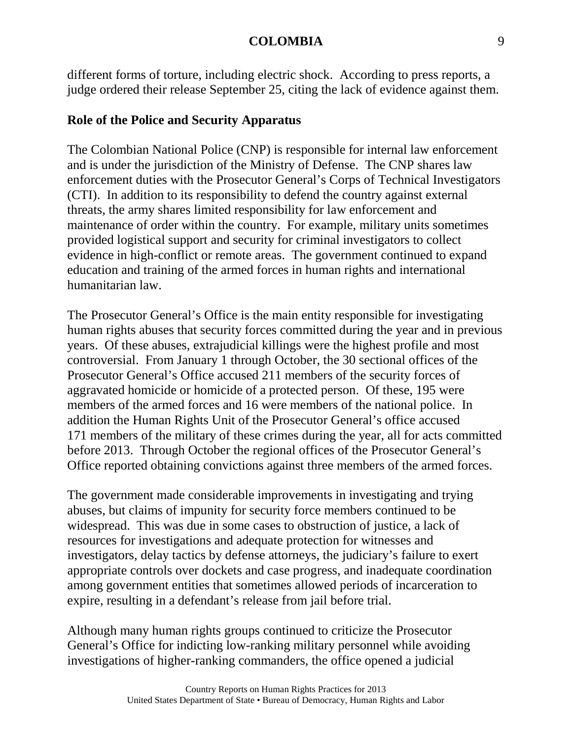different forms of torture, including electric shock. According to press reports, a judge ordered their release September 25, citing the lack of evidence against them.

#### **Role of the Police and Security Apparatus**

The Colombian National Police (CNP) is responsible for internal law enforcement and is under the jurisdiction of the Ministry of Defense. The CNP shares law enforcement duties with the Prosecutor General's Corps of Technical Investigators (CTI). In addition to its responsibility to defend the country against external threats, the army shares limited responsibility for law enforcement and maintenance of order within the country. For example, military units sometimes provided logistical support and security for criminal investigators to collect evidence in high-conflict or remote areas. The government continued to expand education and training of the armed forces in human rights and international humanitarian law.

The Prosecutor General's Office is the main entity responsible for investigating human rights abuses that security forces committed during the year and in previous years. Of these abuses, extrajudicial killings were the highest profile and most controversial. From January 1 through October, the 30 sectional offices of the Prosecutor General's Office accused 211 members of the security forces of aggravated homicide or homicide of a protected person. Of these, 195 were members of the armed forces and 16 were members of the national police. In addition the Human Rights Unit of the Prosecutor General's office accused 171 members of the military of these crimes during the year, all for acts committed before 2013. Through October the regional offices of the Prosecutor General's Office reported obtaining convictions against three members of the armed forces.

The government made considerable improvements in investigating and trying abuses, but claims of impunity for security force members continued to be widespread. This was due in some cases to obstruction of justice, a lack of resources for investigations and adequate protection for witnesses and investigators, delay tactics by defense attorneys, the judiciary's failure to exert appropriate controls over dockets and case progress, and inadequate coordination among government entities that sometimes allowed periods of incarceration to expire, resulting in a defendant's release from jail before trial.

Although many human rights groups continued to criticize the Prosecutor General's Office for indicting low-ranking military personnel while avoiding investigations of higher-ranking commanders, the office opened a judicial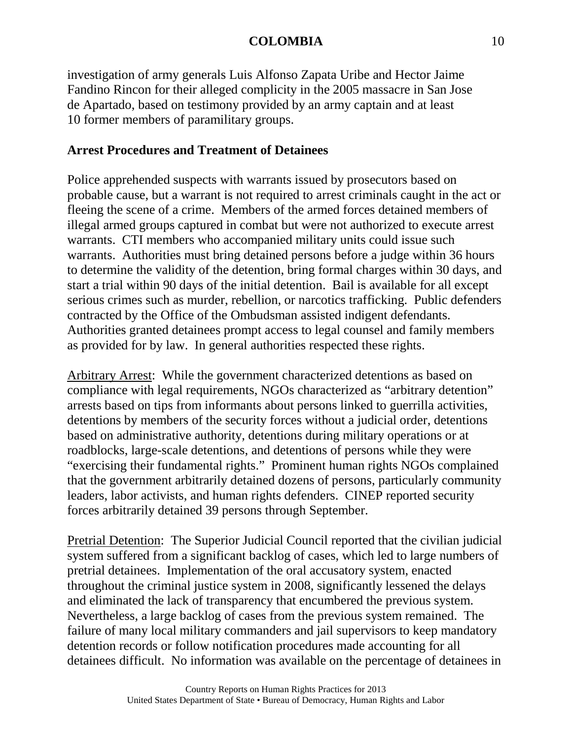investigation of army generals Luis Alfonso Zapata Uribe and Hector Jaime Fandino Rincon for their alleged complicity in the 2005 massacre in San Jose de Apartado, based on testimony provided by an army captain and at least 10 former members of paramilitary groups.

# **Arrest Procedures and Treatment of Detainees**

Police apprehended suspects with warrants issued by prosecutors based on probable cause, but a warrant is not required to arrest criminals caught in the act or fleeing the scene of a crime. Members of the armed forces detained members of illegal armed groups captured in combat but were not authorized to execute arrest warrants. CTI members who accompanied military units could issue such warrants. Authorities must bring detained persons before a judge within 36 hours to determine the validity of the detention, bring formal charges within 30 days, and start a trial within 90 days of the initial detention. Bail is available for all except serious crimes such as murder, rebellion, or narcotics trafficking. Public defenders contracted by the Office of the Ombudsman assisted indigent defendants. Authorities granted detainees prompt access to legal counsel and family members as provided for by law. In general authorities respected these rights.

Arbitrary Arrest: While the government characterized detentions as based on compliance with legal requirements, NGOs characterized as "arbitrary detention" arrests based on tips from informants about persons linked to guerrilla activities, detentions by members of the security forces without a judicial order, detentions based on administrative authority, detentions during military operations or at roadblocks, large-scale detentions, and detentions of persons while they were "exercising their fundamental rights." Prominent human rights NGOs complained that the government arbitrarily detained dozens of persons, particularly community leaders, labor activists, and human rights defenders. CINEP reported security forces arbitrarily detained 39 persons through September.

Pretrial Detention: The Superior Judicial Council reported that the civilian judicial system suffered from a significant backlog of cases, which led to large numbers of pretrial detainees. Implementation of the oral accusatory system, enacted throughout the criminal justice system in 2008, significantly lessened the delays and eliminated the lack of transparency that encumbered the previous system. Nevertheless, a large backlog of cases from the previous system remained. The failure of many local military commanders and jail supervisors to keep mandatory detention records or follow notification procedures made accounting for all detainees difficult. No information was available on the percentage of detainees in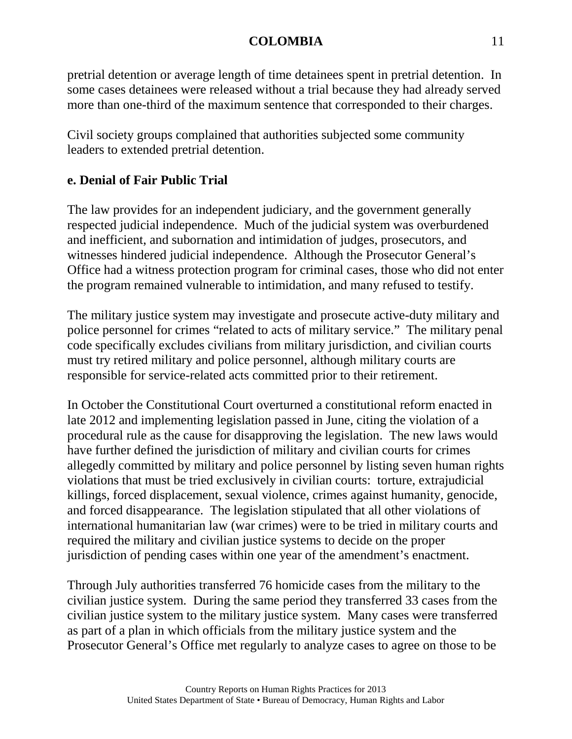pretrial detention or average length of time detainees spent in pretrial detention. In some cases detainees were released without a trial because they had already served more than one-third of the maximum sentence that corresponded to their charges.

Civil society groups complained that authorities subjected some community leaders to extended pretrial detention.

# **e. Denial of Fair Public Trial**

The law provides for an independent judiciary, and the government generally respected judicial independence. Much of the judicial system was overburdened and inefficient, and subornation and intimidation of judges, prosecutors, and witnesses hindered judicial independence. Although the Prosecutor General's Office had a witness protection program for criminal cases, those who did not enter the program remained vulnerable to intimidation, and many refused to testify.

The military justice system may investigate and prosecute active-duty military and police personnel for crimes "related to acts of military service." The military penal code specifically excludes civilians from military jurisdiction, and civilian courts must try retired military and police personnel, although military courts are responsible for service-related acts committed prior to their retirement.

In October the Constitutional Court overturned a constitutional reform enacted in late 2012 and implementing legislation passed in June, citing the violation of a procedural rule as the cause for disapproving the legislation. The new laws would have further defined the jurisdiction of military and civilian courts for crimes allegedly committed by military and police personnel by listing seven human rights violations that must be tried exclusively in civilian courts: torture, extrajudicial killings, forced displacement, sexual violence, crimes against humanity, genocide, and forced disappearance. The legislation stipulated that all other violations of international humanitarian law (war crimes) were to be tried in military courts and required the military and civilian justice systems to decide on the proper jurisdiction of pending cases within one year of the amendment's enactment.

Through July authorities transferred 76 homicide cases from the military to the civilian justice system. During the same period they transferred 33 cases from the civilian justice system to the military justice system. Many cases were transferred as part of a plan in which officials from the military justice system and the Prosecutor General's Office met regularly to analyze cases to agree on those to be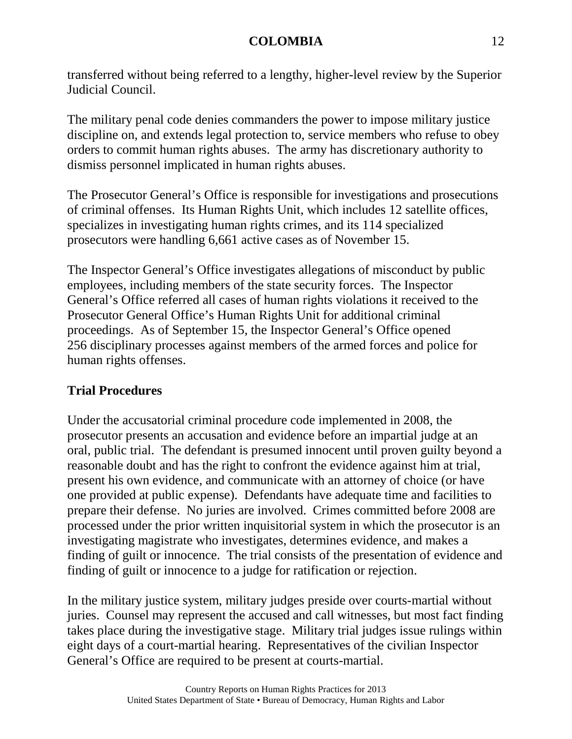transferred without being referred to a lengthy, higher-level review by the Superior Judicial Council.

The military penal code denies commanders the power to impose military justice discipline on, and extends legal protection to, service members who refuse to obey orders to commit human rights abuses. The army has discretionary authority to dismiss personnel implicated in human rights abuses.

The Prosecutor General's Office is responsible for investigations and prosecutions of criminal offenses. Its Human Rights Unit, which includes 12 satellite offices, specializes in investigating human rights crimes, and its 114 specialized prosecutors were handling 6,661 active cases as of November 15.

The Inspector General's Office investigates allegations of misconduct by public employees, including members of the state security forces. The Inspector General's Office referred all cases of human rights violations it received to the Prosecutor General Office's Human Rights Unit for additional criminal proceedings. As of September 15, the Inspector General's Office opened 256 disciplinary processes against members of the armed forces and police for human rights offenses.

# **Trial Procedures**

Under the accusatorial criminal procedure code implemented in 2008, the prosecutor presents an accusation and evidence before an impartial judge at an oral, public trial. The defendant is presumed innocent until proven guilty beyond a reasonable doubt and has the right to confront the evidence against him at trial, present his own evidence, and communicate with an attorney of choice (or have one provided at public expense). Defendants have adequate time and facilities to prepare their defense. No juries are involved. Crimes committed before 2008 are processed under the prior written inquisitorial system in which the prosecutor is an investigating magistrate who investigates, determines evidence, and makes a finding of guilt or innocence. The trial consists of the presentation of evidence and finding of guilt or innocence to a judge for ratification or rejection.

In the military justice system, military judges preside over courts-martial without juries. Counsel may represent the accused and call witnesses, but most fact finding takes place during the investigative stage. Military trial judges issue rulings within eight days of a court-martial hearing. Representatives of the civilian Inspector General's Office are required to be present at courts-martial.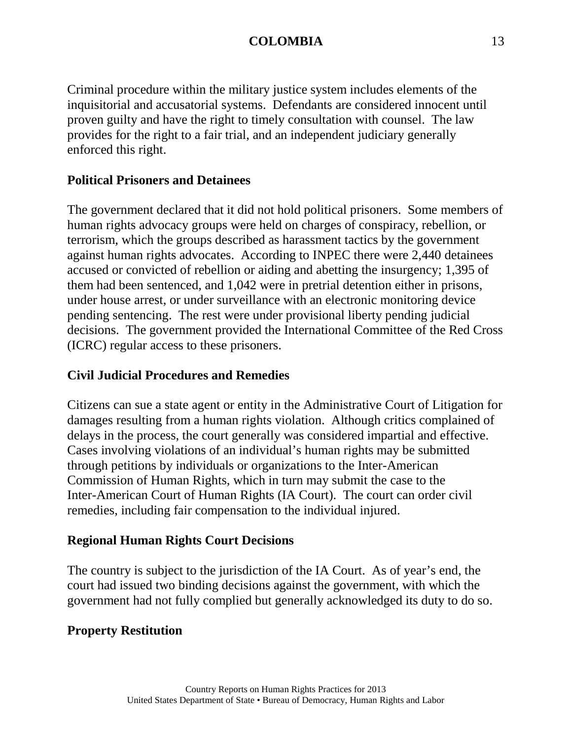Criminal procedure within the military justice system includes elements of the inquisitorial and accusatorial systems. Defendants are considered innocent until proven guilty and have the right to timely consultation with counsel. The law provides for the right to a fair trial, and an independent judiciary generally enforced this right.

## **Political Prisoners and Detainees**

The government declared that it did not hold political prisoners. Some members of human rights advocacy groups were held on charges of conspiracy, rebellion, or terrorism, which the groups described as harassment tactics by the government against human rights advocates. According to INPEC there were 2,440 detainees accused or convicted of rebellion or aiding and abetting the insurgency; 1,395 of them had been sentenced, and 1,042 were in pretrial detention either in prisons, under house arrest, or under surveillance with an electronic monitoring device pending sentencing. The rest were under provisional liberty pending judicial decisions. The government provided the International Committee of the Red Cross (ICRC) regular access to these prisoners.

## **Civil Judicial Procedures and Remedies**

Citizens can sue a state agent or entity in the Administrative Court of Litigation for damages resulting from a human rights violation. Although critics complained of delays in the process, the court generally was considered impartial and effective. Cases involving violations of an individual's human rights may be submitted through petitions by individuals or organizations to the Inter-American Commission of Human Rights, which in turn may submit the case to the Inter-American Court of Human Rights (IA Court). The court can order civil remedies, including fair compensation to the individual injured.

### **Regional Human Rights Court Decisions**

The country is subject to the jurisdiction of the IA Court. As of year's end, the court had issued two binding decisions against the government, with which the government had not fully complied but generally acknowledged its duty to do so.

# **Property Restitution**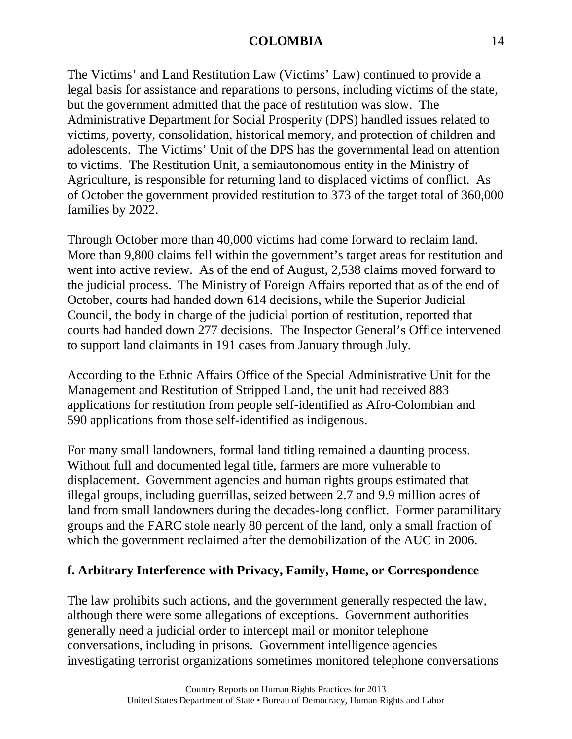The Victims' and Land Restitution Law (Victims' Law) continued to provide a legal basis for assistance and reparations to persons, including victims of the state, but the government admitted that the pace of restitution was slow. The Administrative Department for Social Prosperity (DPS) handled issues related to victims, poverty, consolidation, historical memory, and protection of children and adolescents. The Victims' Unit of the DPS has the governmental lead on attention to victims. The Restitution Unit, a semiautonomous entity in the Ministry of Agriculture, is responsible for returning land to displaced victims of conflict. As of October the government provided restitution to 373 of the target total of 360,000 families by 2022.

Through October more than 40,000 victims had come forward to reclaim land. More than 9,800 claims fell within the government's target areas for restitution and went into active review. As of the end of August, 2,538 claims moved forward to the judicial process. The Ministry of Foreign Affairs reported that as of the end of October, courts had handed down 614 decisions, while the Superior Judicial Council, the body in charge of the judicial portion of restitution, reported that courts had handed down 277 decisions. The Inspector General's Office intervened to support land claimants in 191 cases from January through July.

According to the Ethnic Affairs Office of the Special Administrative Unit for the Management and Restitution of Stripped Land, the unit had received 883 applications for restitution from people self-identified as Afro-Colombian and 590 applications from those self-identified as indigenous.

For many small landowners, formal land titling remained a daunting process. Without full and documented legal title, farmers are more vulnerable to displacement. Government agencies and human rights groups estimated that illegal groups, including guerrillas, seized between 2.7 and 9.9 million acres of land from small landowners during the decades-long conflict. Former paramilitary groups and the FARC stole nearly 80 percent of the land, only a small fraction of which the government reclaimed after the demobilization of the AUC in 2006.

# **f. Arbitrary Interference with Privacy, Family, Home, or Correspondence**

The law prohibits such actions, and the government generally respected the law, although there were some allegations of exceptions. Government authorities generally need a judicial order to intercept mail or monitor telephone conversations, including in prisons. Government intelligence agencies investigating terrorist organizations sometimes monitored telephone conversations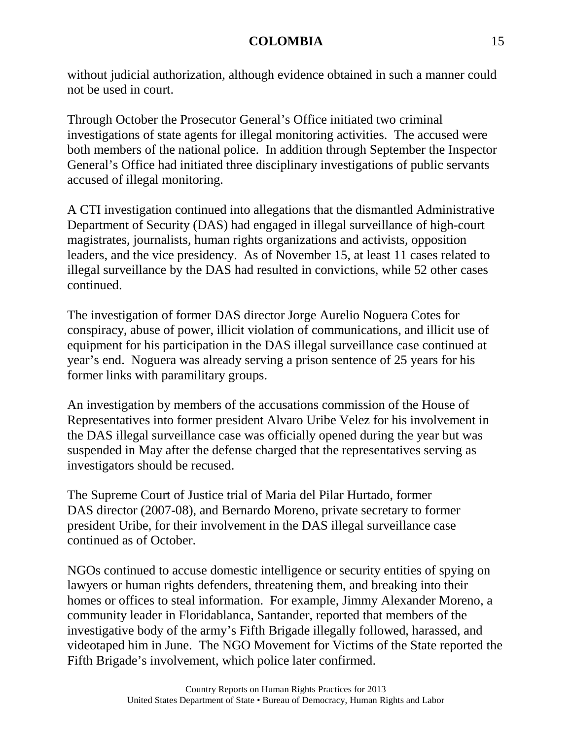without judicial authorization, although evidence obtained in such a manner could not be used in court.

Through October the Prosecutor General's Office initiated two criminal investigations of state agents for illegal monitoring activities. The accused were both members of the national police. In addition through September the Inspector General's Office had initiated three disciplinary investigations of public servants accused of illegal monitoring.

A CTI investigation continued into allegations that the dismantled Administrative Department of Security (DAS) had engaged in illegal surveillance of high-court magistrates, journalists, human rights organizations and activists, opposition leaders, and the vice presidency. As of November 15, at least 11 cases related to illegal surveillance by the DAS had resulted in convictions, while 52 other cases continued.

The investigation of former DAS director Jorge Aurelio Noguera Cotes for conspiracy, abuse of power, illicit violation of communications, and illicit use of equipment for his participation in the DAS illegal surveillance case continued at year's end. Noguera was already serving a prison sentence of 25 years for his former links with paramilitary groups.

An investigation by members of the accusations commission of the House of Representatives into former president Alvaro Uribe Velez for his involvement in the DAS illegal surveillance case was officially opened during the year but was suspended in May after the defense charged that the representatives serving as investigators should be recused.

The Supreme Court of Justice trial of Maria del Pilar Hurtado, former DAS director (2007-08), and Bernardo Moreno, private secretary to former president Uribe, for their involvement in the DAS illegal surveillance case continued as of October.

NGOs continued to accuse domestic intelligence or security entities of spying on lawyers or human rights defenders, threatening them, and breaking into their homes or offices to steal information. For example, Jimmy Alexander Moreno, a community leader in Floridablanca, Santander, reported that members of the investigative body of the army's Fifth Brigade illegally followed, harassed, and videotaped him in June. The NGO Movement for Victims of the State reported the Fifth Brigade's involvement, which police later confirmed.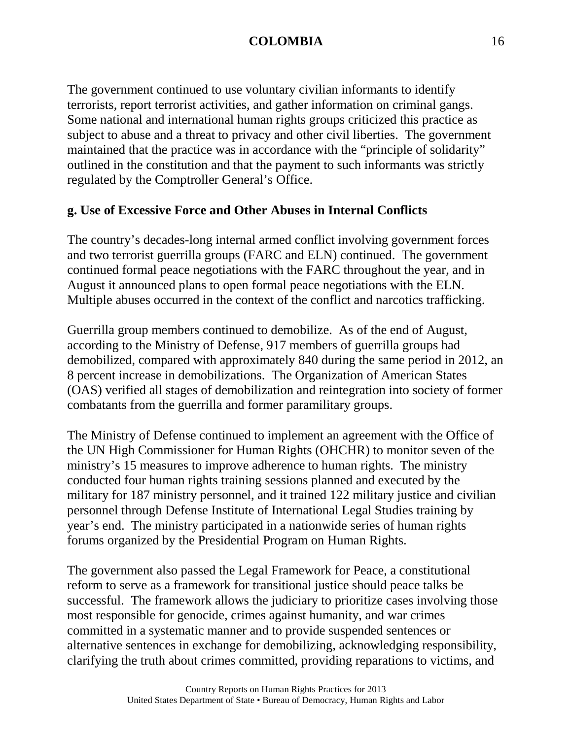The government continued to use voluntary civilian informants to identify terrorists, report terrorist activities, and gather information on criminal gangs. Some national and international human rights groups criticized this practice as subject to abuse and a threat to privacy and other civil liberties. The government maintained that the practice was in accordance with the "principle of solidarity" outlined in the constitution and that the payment to such informants was strictly regulated by the Comptroller General's Office.

## **g. Use of Excessive Force and Other Abuses in Internal Conflicts**

The country's decades-long internal armed conflict involving government forces and two terrorist guerrilla groups (FARC and ELN) continued. The government continued formal peace negotiations with the FARC throughout the year, and in August it announced plans to open formal peace negotiations with the ELN. Multiple abuses occurred in the context of the conflict and narcotics trafficking.

Guerrilla group members continued to demobilize. As of the end of August, according to the Ministry of Defense, 917 members of guerrilla groups had demobilized, compared with approximately 840 during the same period in 2012, an 8 percent increase in demobilizations. The Organization of American States (OAS) verified all stages of demobilization and reintegration into society of former combatants from the guerrilla and former paramilitary groups.

The Ministry of Defense continued to implement an agreement with the Office of the UN High Commissioner for Human Rights (OHCHR) to monitor seven of the ministry's 15 measures to improve adherence to human rights. The ministry conducted four human rights training sessions planned and executed by the military for 187 ministry personnel, and it trained 122 military justice and civilian personnel through Defense Institute of International Legal Studies training by year's end. The ministry participated in a nationwide series of human rights forums organized by the Presidential Program on Human Rights.

The government also passed the Legal Framework for Peace, a constitutional reform to serve as a framework for transitional justice should peace talks be successful. The framework allows the judiciary to prioritize cases involving those most responsible for genocide, crimes against humanity, and war crimes committed in a systematic manner and to provide suspended sentences or alternative sentences in exchange for demobilizing, acknowledging responsibility, clarifying the truth about crimes committed, providing reparations to victims, and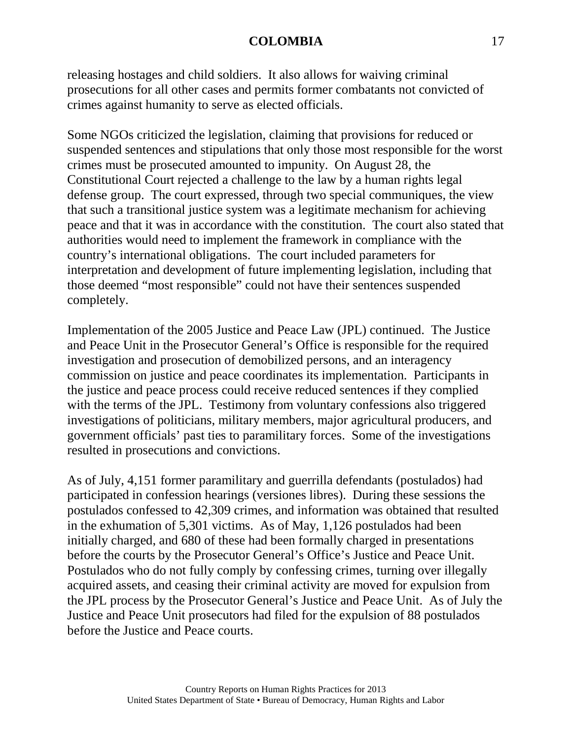releasing hostages and child soldiers. It also allows for waiving criminal prosecutions for all other cases and permits former combatants not convicted of crimes against humanity to serve as elected officials.

Some NGOs criticized the legislation, claiming that provisions for reduced or suspended sentences and stipulations that only those most responsible for the worst crimes must be prosecuted amounted to impunity. On August 28, the Constitutional Court rejected a challenge to the law by a human rights legal defense group. The court expressed, through two special communiques, the view that such a transitional justice system was a legitimate mechanism for achieving peace and that it was in accordance with the constitution. The court also stated that authorities would need to implement the framework in compliance with the country's international obligations. The court included parameters for interpretation and development of future implementing legislation, including that those deemed "most responsible" could not have their sentences suspended completely.

Implementation of the 2005 Justice and Peace Law (JPL) continued. The Justice and Peace Unit in the Prosecutor General's Office is responsible for the required investigation and prosecution of demobilized persons, and an interagency commission on justice and peace coordinates its implementation. Participants in the justice and peace process could receive reduced sentences if they complied with the terms of the JPL. Testimony from voluntary confessions also triggered investigations of politicians, military members, major agricultural producers, and government officials' past ties to paramilitary forces. Some of the investigations resulted in prosecutions and convictions.

As of July, 4,151 former paramilitary and guerrilla defendants (postulados) had participated in confession hearings (versiones libres). During these sessions the postulados confessed to 42,309 crimes, and information was obtained that resulted in the exhumation of 5,301 victims. As of May, 1,126 postulados had been initially charged, and 680 of these had been formally charged in presentations before the courts by the Prosecutor General's Office's Justice and Peace Unit. Postulados who do not fully comply by confessing crimes, turning over illegally acquired assets, and ceasing their criminal activity are moved for expulsion from the JPL process by the Prosecutor General's Justice and Peace Unit. As of July the Justice and Peace Unit prosecutors had filed for the expulsion of 88 postulados before the Justice and Peace courts.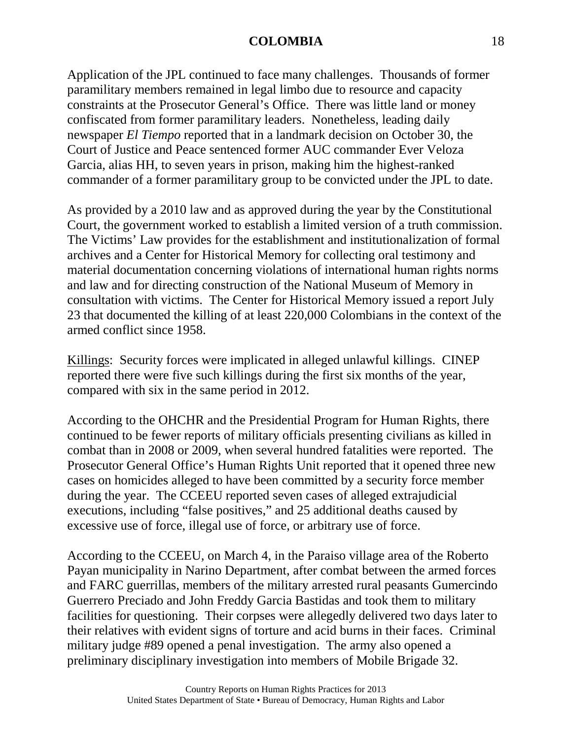Application of the JPL continued to face many challenges. Thousands of former paramilitary members remained in legal limbo due to resource and capacity constraints at the Prosecutor General's Office. There was little land or money confiscated from former paramilitary leaders. Nonetheless, leading daily newspaper *El Tiempo* reported that in a landmark decision on October 30, the Court of Justice and Peace sentenced former AUC commander Ever Veloza Garcia, alias HH, to seven years in prison, making him the highest-ranked commander of a former paramilitary group to be convicted under the JPL to date.

As provided by a 2010 law and as approved during the year by the Constitutional Court, the government worked to establish a limited version of a truth commission. The Victims' Law provides for the establishment and institutionalization of formal archives and a Center for Historical Memory for collecting oral testimony and material documentation concerning violations of international human rights norms and law and for directing construction of the National Museum of Memory in consultation with victims. The Center for Historical Memory issued a report July 23 that documented the killing of at least 220,000 Colombians in the context of the armed conflict since 1958.

Killings: Security forces were implicated in alleged unlawful killings. CINEP reported there were five such killings during the first six months of the year, compared with six in the same period in 2012.

According to the OHCHR and the Presidential Program for Human Rights, there continued to be fewer reports of military officials presenting civilians as killed in combat than in 2008 or 2009, when several hundred fatalities were reported. The Prosecutor General Office's Human Rights Unit reported that it opened three new cases on homicides alleged to have been committed by a security force member during the year. The CCEEU reported seven cases of alleged extrajudicial executions, including "false positives," and 25 additional deaths caused by excessive use of force, illegal use of force, or arbitrary use of force.

According to the CCEEU, on March 4, in the Paraiso village area of the Roberto Payan municipality in Narino Department, after combat between the armed forces and FARC guerrillas, members of the military arrested rural peasants Gumercindo Guerrero Preciado and John Freddy Garcia Bastidas and took them to military facilities for questioning. Their corpses were allegedly delivered two days later to their relatives with evident signs of torture and acid burns in their faces. Criminal military judge #89 opened a penal investigation. The army also opened a preliminary disciplinary investigation into members of Mobile Brigade 32.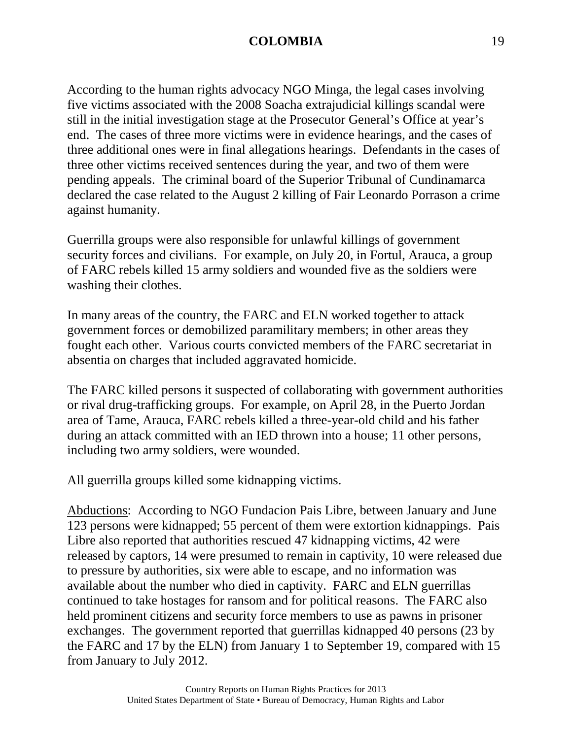According to the human rights advocacy NGO Minga, the legal cases involving five victims associated with the 2008 Soacha extrajudicial killings scandal were still in the initial investigation stage at the Prosecutor General's Office at year's end. The cases of three more victims were in evidence hearings, and the cases of three additional ones were in final allegations hearings. Defendants in the cases of three other victims received sentences during the year, and two of them were pending appeals. The criminal board of the Superior Tribunal of Cundinamarca declared the case related to the August 2 killing of Fair Leonardo Porrason a crime against humanity.

Guerrilla groups were also responsible for unlawful killings of government security forces and civilians. For example, on July 20, in Fortul, Arauca, a group of FARC rebels killed 15 army soldiers and wounded five as the soldiers were washing their clothes.

In many areas of the country, the FARC and ELN worked together to attack government forces or demobilized paramilitary members; in other areas they fought each other. Various courts convicted members of the FARC secretariat in absentia on charges that included aggravated homicide.

The FARC killed persons it suspected of collaborating with government authorities or rival drug-trafficking groups. For example, on April 28, in the Puerto Jordan area of Tame, Arauca, FARC rebels killed a three-year-old child and his father during an attack committed with an IED thrown into a house; 11 other persons, including two army soldiers, were wounded.

All guerrilla groups killed some kidnapping victims.

Abductions: According to NGO Fundacion Pais Libre, between January and June 123 persons were kidnapped; 55 percent of them were extortion kidnappings. Pais Libre also reported that authorities rescued 47 kidnapping victims, 42 were released by captors, 14 were presumed to remain in captivity, 10 were released due to pressure by authorities, six were able to escape, and no information was available about the number who died in captivity. FARC and ELN guerrillas continued to take hostages for ransom and for political reasons. The FARC also held prominent citizens and security force members to use as pawns in prisoner exchanges. The government reported that guerrillas kidnapped 40 persons (23 by the FARC and 17 by the ELN) from January 1 to September 19, compared with 15 from January to July 2012.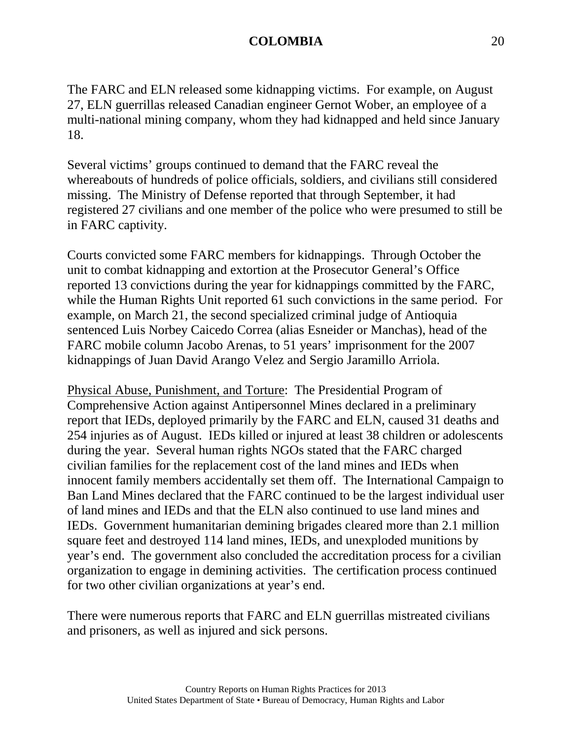The FARC and ELN released some kidnapping victims. For example, on August 27, ELN guerrillas released Canadian engineer Gernot Wober, an employee of a multi-national mining company, whom they had kidnapped and held since January 18.

Several victims' groups continued to demand that the FARC reveal the whereabouts of hundreds of police officials, soldiers, and civilians still considered missing. The Ministry of Defense reported that through September, it had registered 27 civilians and one member of the police who were presumed to still be in FARC captivity.

Courts convicted some FARC members for kidnappings. Through October the unit to combat kidnapping and extortion at the Prosecutor General's Office reported 13 convictions during the year for kidnappings committed by the FARC, while the Human Rights Unit reported 61 such convictions in the same period. For example, on March 21, the second specialized criminal judge of Antioquia sentenced Luis Norbey Caicedo Correa (alias Esneider or Manchas), head of the FARC mobile column Jacobo Arenas, to 51 years' imprisonment for the 2007 kidnappings of Juan David Arango Velez and Sergio Jaramillo Arriola.

Physical Abuse, Punishment, and Torture: The Presidential Program of Comprehensive Action against Antipersonnel Mines declared in a preliminary report that IEDs, deployed primarily by the FARC and ELN, caused 31 deaths and 254 injuries as of August. IEDs killed or injured at least 38 children or adolescents during the year. Several human rights NGOs stated that the FARC charged civilian families for the replacement cost of the land mines and IEDs when innocent family members accidentally set them off. The International Campaign to Ban Land Mines declared that the FARC continued to be the largest individual user of land mines and IEDs and that the ELN also continued to use land mines and IEDs. Government humanitarian demining brigades cleared more than 2.1 million square feet and destroyed 114 land mines, IEDs, and unexploded munitions by year's end. The government also concluded the accreditation process for a civilian organization to engage in demining activities. The certification process continued for two other civilian organizations at year's end.

There were numerous reports that FARC and ELN guerrillas mistreated civilians and prisoners, as well as injured and sick persons.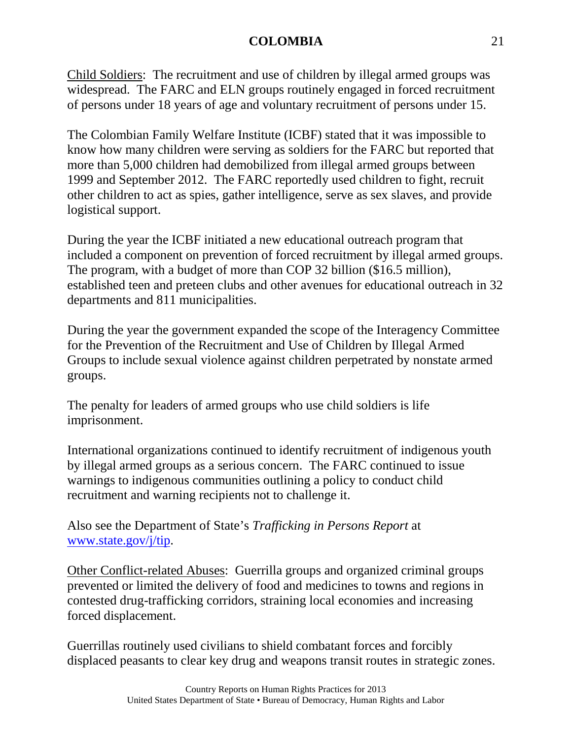Child Soldiers: The recruitment and use of children by illegal armed groups was widespread. The FARC and ELN groups routinely engaged in forced recruitment of persons under 18 years of age and voluntary recruitment of persons under 15.

The Colombian Family Welfare Institute (ICBF) stated that it was impossible to know how many children were serving as soldiers for the FARC but reported that more than 5,000 children had demobilized from illegal armed groups between 1999 and September 2012. The FARC reportedly used children to fight, recruit other children to act as spies, gather intelligence, serve as sex slaves, and provide logistical support.

During the year the ICBF initiated a new educational outreach program that included a component on prevention of forced recruitment by illegal armed groups. The program, with a budget of more than COP 32 billion (\$16.5 million), established teen and preteen clubs and other avenues for educational outreach in 32 departments and 811 municipalities.

During the year the government expanded the scope of the Interagency Committee for the Prevention of the Recruitment and Use of Children by Illegal Armed Groups to include sexual violence against children perpetrated by nonstate armed groups.

The penalty for leaders of armed groups who use child soldiers is life imprisonment.

International organizations continued to identify recruitment of indigenous youth by illegal armed groups as a serious concern. The FARC continued to issue warnings to indigenous communities outlining a policy to conduct child recruitment and warning recipients not to challenge it.

Also see the Department of State's *Trafficking in Persons Report* at [www.state.gov/j/tip.](http://www.state.gov/j/tip)

Other Conflict-related Abuses: Guerrilla groups and organized criminal groups prevented or limited the delivery of food and medicines to towns and regions in contested drug-trafficking corridors, straining local economies and increasing forced displacement.

Guerrillas routinely used civilians to shield combatant forces and forcibly displaced peasants to clear key drug and weapons transit routes in strategic zones.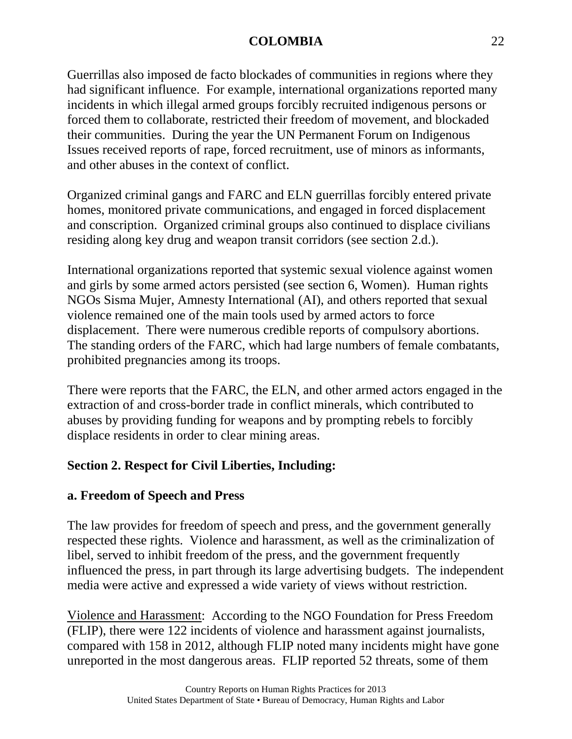Guerrillas also imposed de facto blockades of communities in regions where they had significant influence. For example, international organizations reported many incidents in which illegal armed groups forcibly recruited indigenous persons or forced them to collaborate, restricted their freedom of movement, and blockaded their communities. During the year the UN Permanent Forum on Indigenous Issues received reports of rape, forced recruitment, use of minors as informants, and other abuses in the context of conflict.

Organized criminal gangs and FARC and ELN guerrillas forcibly entered private homes, monitored private communications, and engaged in forced displacement and conscription. Organized criminal groups also continued to displace civilians residing along key drug and weapon transit corridors (see section 2.d.).

International organizations reported that systemic sexual violence against women and girls by some armed actors persisted (see section 6, Women). Human rights NGOs Sisma Mujer, Amnesty International (AI), and others reported that sexual violence remained one of the main tools used by armed actors to force displacement. There were numerous credible reports of compulsory abortions. The standing orders of the FARC, which had large numbers of female combatants, prohibited pregnancies among its troops.

There were reports that the FARC, the ELN, and other armed actors engaged in the extraction of and cross-border trade in conflict minerals, which contributed to abuses by providing funding for weapons and by prompting rebels to forcibly displace residents in order to clear mining areas.

# **Section 2. Respect for Civil Liberties, Including:**

# **a. Freedom of Speech and Press**

The law provides for freedom of speech and press, and the government generally respected these rights. Violence and harassment, as well as the criminalization of libel, served to inhibit freedom of the press, and the government frequently influenced the press, in part through its large advertising budgets. The independent media were active and expressed a wide variety of views without restriction.

Violence and Harassment: According to the NGO Foundation for Press Freedom (FLIP), there were 122 incidents of violence and harassment against journalists, compared with 158 in 2012, although FLIP noted many incidents might have gone unreported in the most dangerous areas. FLIP reported 52 threats, some of them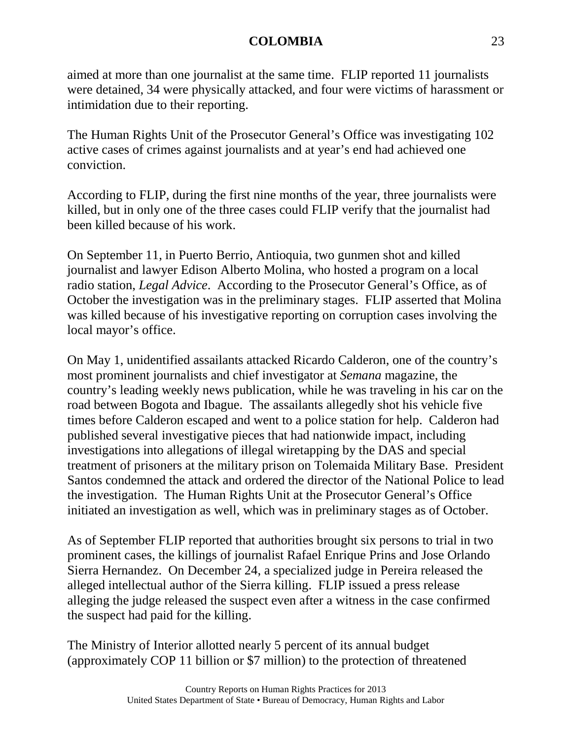aimed at more than one journalist at the same time. FLIP reported 11 journalists were detained, 34 were physically attacked, and four were victims of harassment or intimidation due to their reporting.

The Human Rights Unit of the Prosecutor General's Office was investigating 102 active cases of crimes against journalists and at year's end had achieved one conviction.

According to FLIP, during the first nine months of the year, three journalists were killed, but in only one of the three cases could FLIP verify that the journalist had been killed because of his work.

On September 11, in Puerto Berrio, Antioquia, two gunmen shot and killed journalist and lawyer Edison Alberto Molina, who hosted a program on a local radio station, *Legal Advice*. According to the Prosecutor General's Office, as of October the investigation was in the preliminary stages. FLIP asserted that Molina was killed because of his investigative reporting on corruption cases involving the local mayor's office.

On May 1, unidentified assailants attacked Ricardo Calderon, one of the country's most prominent journalists and chief investigator at *Semana* magazine, the country's leading weekly news publication, while he was traveling in his car on the road between Bogota and Ibague. The assailants allegedly shot his vehicle five times before Calderon escaped and went to a police station for help. Calderon had published several investigative pieces that had nationwide impact, including investigations into allegations of illegal wiretapping by the DAS and special treatment of prisoners at the military prison on Tolemaida Military Base. President Santos condemned the attack and ordered the director of the National Police to lead the investigation. The Human Rights Unit at the Prosecutor General's Office initiated an investigation as well, which was in preliminary stages as of October.

As of September FLIP reported that authorities brought six persons to trial in two prominent cases, the killings of journalist Rafael Enrique Prins and Jose Orlando Sierra Hernandez. On December 24, a specialized judge in Pereira released the alleged intellectual author of the Sierra killing. FLIP issued a press release alleging the judge released the suspect even after a witness in the case confirmed the suspect had paid for the killing.

The Ministry of Interior allotted nearly 5 percent of its annual budget (approximately COP 11 billion or \$7 million) to the protection of threatened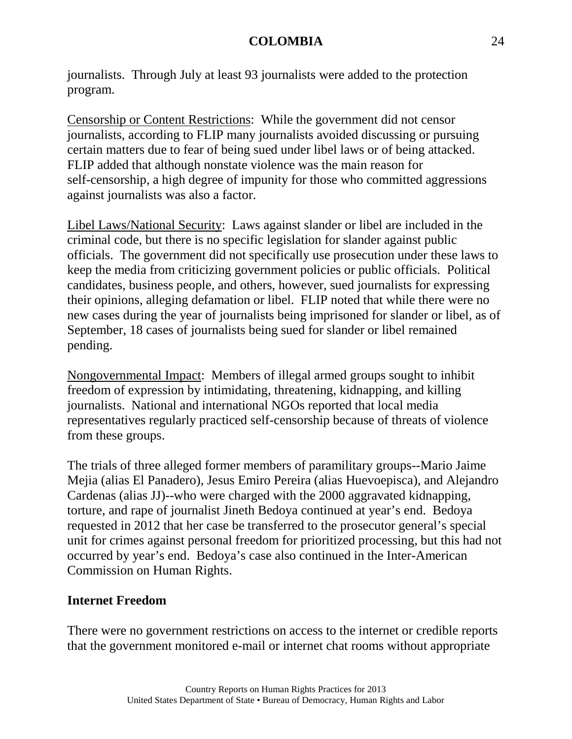journalists. Through July at least 93 journalists were added to the protection program.

Censorship or Content Restrictions: While the government did not censor journalists, according to FLIP many journalists avoided discussing or pursuing certain matters due to fear of being sued under libel laws or of being attacked. FLIP added that although nonstate violence was the main reason for self-censorship, a high degree of impunity for those who committed aggressions against journalists was also a factor.

Libel Laws/National Security: Laws against slander or libel are included in the criminal code, but there is no specific legislation for slander against public officials. The government did not specifically use prosecution under these laws to keep the media from criticizing government policies or public officials. Political candidates, business people, and others, however, sued journalists for expressing their opinions, alleging defamation or libel. FLIP noted that while there were no new cases during the year of journalists being imprisoned for slander or libel, as of September, 18 cases of journalists being sued for slander or libel remained pending.

Nongovernmental Impact: Members of illegal armed groups sought to inhibit freedom of expression by intimidating, threatening, kidnapping, and killing journalists. National and international NGOs reported that local media representatives regularly practiced self-censorship because of threats of violence from these groups.

The trials of three alleged former members of paramilitary groups--Mario Jaime Mejia (alias El Panadero), Jesus Emiro Pereira (alias Huevoepisca), and Alejandro Cardenas (alias JJ)--who were charged with the 2000 aggravated kidnapping, torture, and rape of journalist Jineth Bedoya continued at year's end. Bedoya requested in 2012 that her case be transferred to the prosecutor general's special unit for crimes against personal freedom for prioritized processing, but this had not occurred by year's end. Bedoya's case also continued in the Inter-American Commission on Human Rights.

### **Internet Freedom**

There were no government restrictions on access to the internet or credible reports that the government monitored e-mail or internet chat rooms without appropriate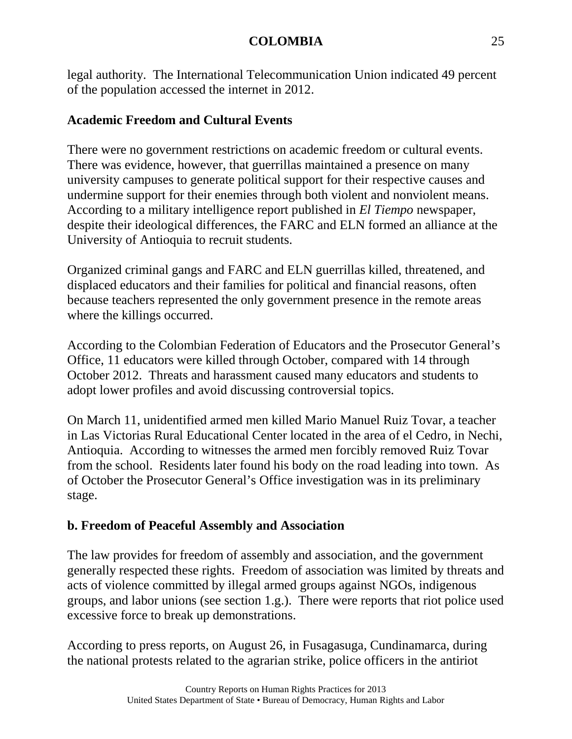legal authority. The International Telecommunication Union indicated 49 percent of the population accessed the internet in 2012.

# **Academic Freedom and Cultural Events**

There were no government restrictions on academic freedom or cultural events. There was evidence, however, that guerrillas maintained a presence on many university campuses to generate political support for their respective causes and undermine support for their enemies through both violent and nonviolent means. According to a military intelligence report published in *El Tiempo* newspaper, despite their ideological differences, the FARC and ELN formed an alliance at the University of Antioquia to recruit students.

Organized criminal gangs and FARC and ELN guerrillas killed, threatened, and displaced educators and their families for political and financial reasons, often because teachers represented the only government presence in the remote areas where the killings occurred.

According to the Colombian Federation of Educators and the Prosecutor General's Office, 11 educators were killed through October, compared with 14 through October 2012. Threats and harassment caused many educators and students to adopt lower profiles and avoid discussing controversial topics.

On March 11, unidentified armed men killed Mario Manuel Ruiz Tovar, a teacher in Las Victorias Rural Educational Center located in the area of el Cedro, in Nechi, Antioquia. According to witnesses the armed men forcibly removed Ruiz Tovar from the school. Residents later found his body on the road leading into town. As of October the Prosecutor General's Office investigation was in its preliminary stage.

# **b. Freedom of Peaceful Assembly and Association**

The law provides for freedom of assembly and association, and the government generally respected these rights. Freedom of association was limited by threats and acts of violence committed by illegal armed groups against NGOs, indigenous groups, and labor unions (see section 1.g.). There were reports that riot police used excessive force to break up demonstrations.

According to press reports, on August 26, in Fusagasuga, Cundinamarca, during the national protests related to the agrarian strike, police officers in the antiriot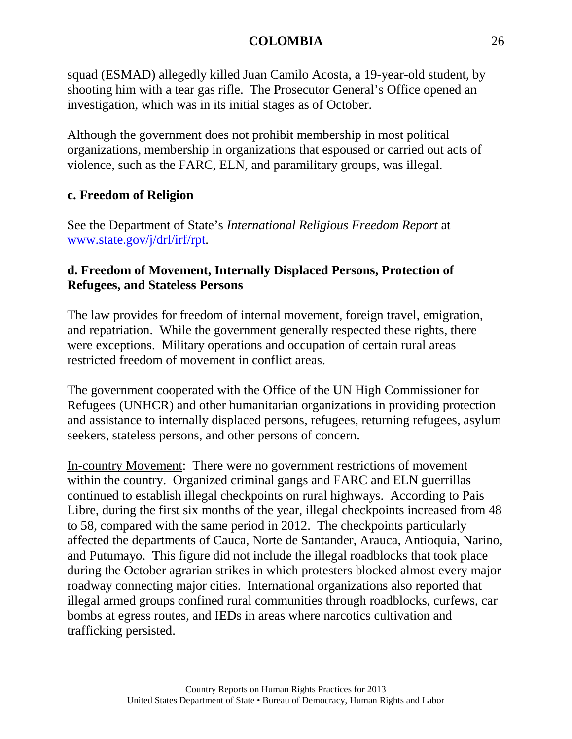squad (ESMAD) allegedly killed Juan Camilo Acosta, a 19-year-old student, by shooting him with a tear gas rifle. The Prosecutor General's Office opened an investigation, which was in its initial stages as of October.

Although the government does not prohibit membership in most political organizations, membership in organizations that espoused or carried out acts of violence, such as the FARC, ELN, and paramilitary groups, was illegal.

# **c. Freedom of Religion**

See the Department of State's *International Religious Freedom Report* at [www.state.gov/j/drl/irf/rpt.](http://www.state.gov/j/drl/irf/rpt)

# **d. Freedom of Movement, Internally Displaced Persons, Protection of Refugees, and Stateless Persons**

The law provides for freedom of internal movement, foreign travel, emigration, and repatriation. While the government generally respected these rights, there were exceptions. Military operations and occupation of certain rural areas restricted freedom of movement in conflict areas.

The government cooperated with the Office of the UN High Commissioner for Refugees (UNHCR) and other humanitarian organizations in providing protection and assistance to internally displaced persons, refugees, returning refugees, asylum seekers, stateless persons, and other persons of concern.

In-country Movement: There were no government restrictions of movement within the country. Organized criminal gangs and FARC and ELN guerrillas continued to establish illegal checkpoints on rural highways. According to Pais Libre, during the first six months of the year, illegal checkpoints increased from 48 to 58, compared with the same period in 2012. The checkpoints particularly affected the departments of Cauca, Norte de Santander, Arauca, Antioquia, Narino, and Putumayo. This figure did not include the illegal roadblocks that took place during the October agrarian strikes in which protesters blocked almost every major roadway connecting major cities. International organizations also reported that illegal armed groups confined rural communities through roadblocks, curfews, car bombs at egress routes, and IEDs in areas where narcotics cultivation and trafficking persisted.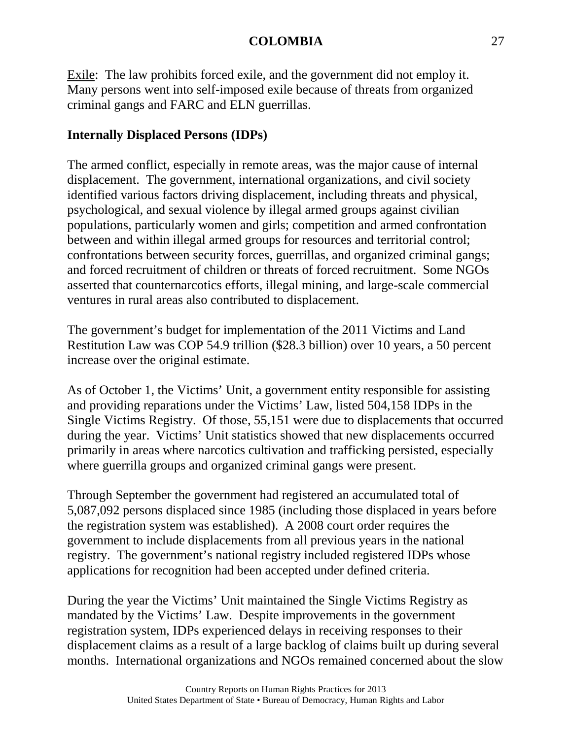Exile: The law prohibits forced exile, and the government did not employ it. Many persons went into self-imposed exile because of threats from organized criminal gangs and FARC and ELN guerrillas.

# **Internally Displaced Persons (IDPs)**

The armed conflict, especially in remote areas, was the major cause of internal displacement. The government, international organizations, and civil society identified various factors driving displacement, including threats and physical, psychological, and sexual violence by illegal armed groups against civilian populations, particularly women and girls; competition and armed confrontation between and within illegal armed groups for resources and territorial control; confrontations between security forces, guerrillas, and organized criminal gangs; and forced recruitment of children or threats of forced recruitment. Some NGOs asserted that counternarcotics efforts, illegal mining, and large-scale commercial ventures in rural areas also contributed to displacement.

The government's budget for implementation of the 2011 Victims and Land Restitution Law was COP 54.9 trillion (\$28.3 billion) over 10 years, a 50 percent increase over the original estimate.

As of October 1, the Victims' Unit, a government entity responsible for assisting and providing reparations under the Victims' Law, listed 504,158 IDPs in the Single Victims Registry. Of those, 55,151 were due to displacements that occurred during the year. Victims' Unit statistics showed that new displacements occurred primarily in areas where narcotics cultivation and trafficking persisted, especially where guerrilla groups and organized criminal gangs were present.

Through September the government had registered an accumulated total of 5,087,092 persons displaced since 1985 (including those displaced in years before the registration system was established). A 2008 court order requires the government to include displacements from all previous years in the national registry. The government's national registry included registered IDPs whose applications for recognition had been accepted under defined criteria.

During the year the Victims' Unit maintained the Single Victims Registry as mandated by the Victims' Law. Despite improvements in the government registration system, IDPs experienced delays in receiving responses to their displacement claims as a result of a large backlog of claims built up during several months. International organizations and NGOs remained concerned about the slow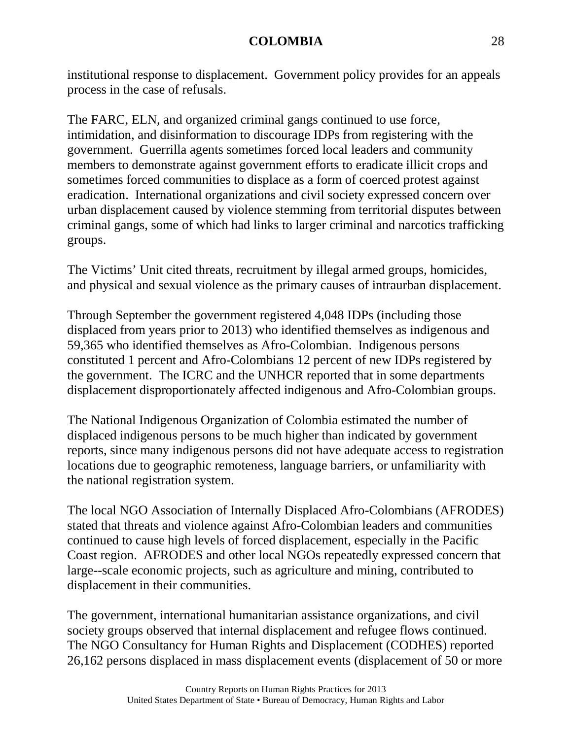institutional response to displacement. Government policy provides for an appeals process in the case of refusals.

The FARC, ELN, and organized criminal gangs continued to use force, intimidation, and disinformation to discourage IDPs from registering with the government. Guerrilla agents sometimes forced local leaders and community members to demonstrate against government efforts to eradicate illicit crops and sometimes forced communities to displace as a form of coerced protest against eradication. International organizations and civil society expressed concern over urban displacement caused by violence stemming from territorial disputes between criminal gangs, some of which had links to larger criminal and narcotics trafficking groups.

The Victims' Unit cited threats, recruitment by illegal armed groups, homicides, and physical and sexual violence as the primary causes of intraurban displacement.

Through September the government registered 4,048 IDPs (including those displaced from years prior to 2013) who identified themselves as indigenous and 59,365 who identified themselves as Afro-Colombian. Indigenous persons constituted 1 percent and Afro-Colombians 12 percent of new IDPs registered by the government. The ICRC and the UNHCR reported that in some departments displacement disproportionately affected indigenous and Afro-Colombian groups.

The National Indigenous Organization of Colombia estimated the number of displaced indigenous persons to be much higher than indicated by government reports, since many indigenous persons did not have adequate access to registration locations due to geographic remoteness, language barriers, or unfamiliarity with the national registration system.

The local NGO Association of Internally Displaced Afro-Colombians (AFRODES) stated that threats and violence against Afro-Colombian leaders and communities continued to cause high levels of forced displacement, especially in the Pacific Coast region. AFRODES and other local NGOs repeatedly expressed concern that large--scale economic projects, such as agriculture and mining, contributed to displacement in their communities.

The government, international humanitarian assistance organizations, and civil society groups observed that internal displacement and refugee flows continued. The NGO Consultancy for Human Rights and Displacement (CODHES) reported 26,162 persons displaced in mass displacement events (displacement of 50 or more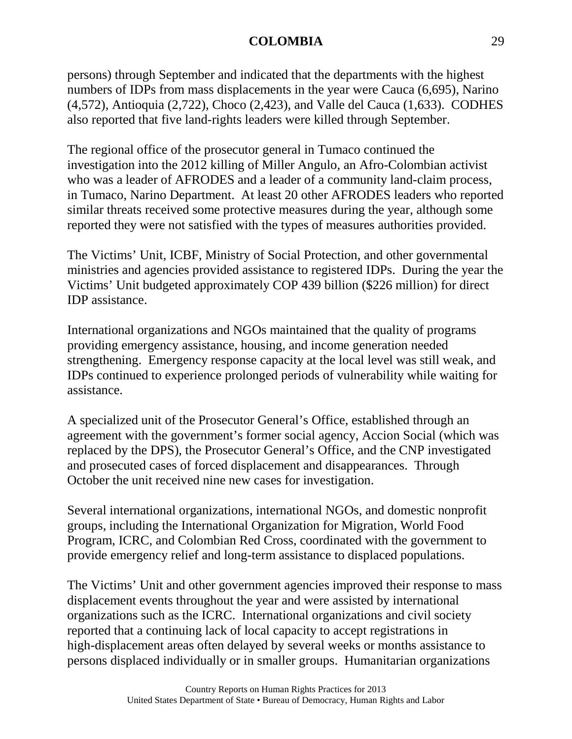persons) through September and indicated that the departments with the highest numbers of IDPs from mass displacements in the year were Cauca (6,695), Narino (4,572), Antioquia (2,722), Choco (2,423), and Valle del Cauca (1,633). CODHES also reported that five land-rights leaders were killed through September.

The regional office of the prosecutor general in Tumaco continued the investigation into the 2012 killing of Miller Angulo, an Afro-Colombian activist who was a leader of AFRODES and a leader of a community land-claim process, in Tumaco, Narino Department. At least 20 other AFRODES leaders who reported similar threats received some protective measures during the year, although some reported they were not satisfied with the types of measures authorities provided.

The Victims' Unit, ICBF, Ministry of Social Protection, and other governmental ministries and agencies provided assistance to registered IDPs. During the year the Victims' Unit budgeted approximately COP 439 billion (\$226 million) for direct IDP assistance.

International organizations and NGOs maintained that the quality of programs providing emergency assistance, housing, and income generation needed strengthening. Emergency response capacity at the local level was still weak, and IDPs continued to experience prolonged periods of vulnerability while waiting for assistance.

A specialized unit of the Prosecutor General's Office, established through an agreement with the government's former social agency, Accion Social (which was replaced by the DPS), the Prosecutor General's Office, and the CNP investigated and prosecuted cases of forced displacement and disappearances. Through October the unit received nine new cases for investigation.

Several international organizations, international NGOs, and domestic nonprofit groups, including the International Organization for Migration, World Food Program, ICRC, and Colombian Red Cross, coordinated with the government to provide emergency relief and long-term assistance to displaced populations.

The Victims' Unit and other government agencies improved their response to mass displacement events throughout the year and were assisted by international organizations such as the ICRC. International organizations and civil society reported that a continuing lack of local capacity to accept registrations in high-displacement areas often delayed by several weeks or months assistance to persons displaced individually or in smaller groups. Humanitarian organizations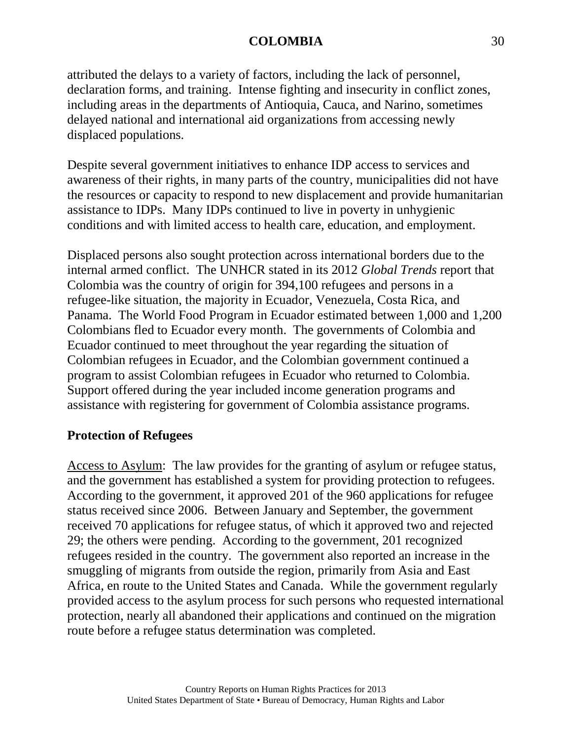attributed the delays to a variety of factors, including the lack of personnel, declaration forms, and training. Intense fighting and insecurity in conflict zones, including areas in the departments of Antioquia, Cauca, and Narino, sometimes delayed national and international aid organizations from accessing newly displaced populations.

Despite several government initiatives to enhance IDP access to services and awareness of their rights, in many parts of the country, municipalities did not have the resources or capacity to respond to new displacement and provide humanitarian assistance to IDPs. Many IDPs continued to live in poverty in unhygienic conditions and with limited access to health care, education, and employment.

Displaced persons also sought protection across international borders due to the internal armed conflict. The UNHCR stated in its 2012 *Global Trends* report that Colombia was the country of origin for 394,100 refugees and persons in a refugee-like situation, the majority in Ecuador, Venezuela, Costa Rica, and Panama. The World Food Program in Ecuador estimated between 1,000 and 1,200 Colombians fled to Ecuador every month. The governments of Colombia and Ecuador continued to meet throughout the year regarding the situation of Colombian refugees in Ecuador, and the Colombian government continued a program to assist Colombian refugees in Ecuador who returned to Colombia. Support offered during the year included income generation programs and assistance with registering for government of Colombia assistance programs.

# **Protection of Refugees**

Access to Asylum: The law provides for the granting of asylum or refugee status, and the government has established a system for providing protection to refugees. According to the government, it approved 201 of the 960 applications for refugee status received since 2006. Between January and September, the government received 70 applications for refugee status, of which it approved two and rejected 29; the others were pending. According to the government, 201 recognized refugees resided in the country. The government also reported an increase in the smuggling of migrants from outside the region, primarily from Asia and East Africa, en route to the United States and Canada. While the government regularly provided access to the asylum process for such persons who requested international protection, nearly all abandoned their applications and continued on the migration route before a refugee status determination was completed.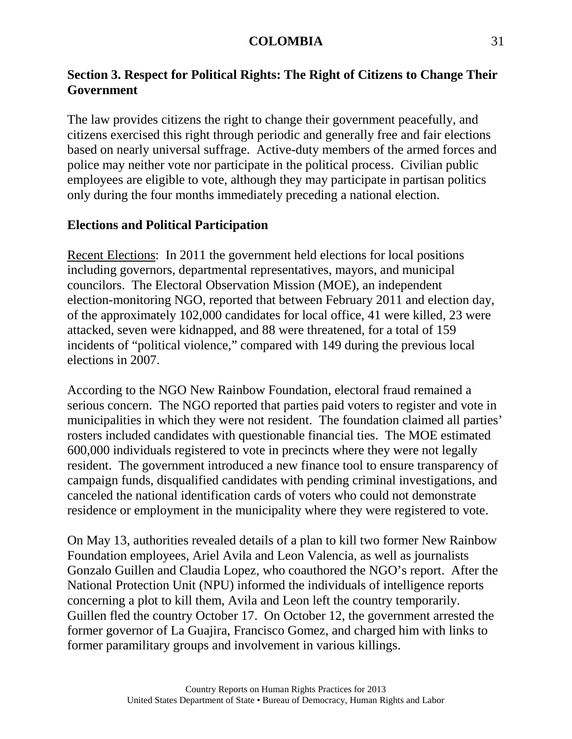# **Section 3. Respect for Political Rights: The Right of Citizens to Change Their Government**

The law provides citizens the right to change their government peacefully, and citizens exercised this right through periodic and generally free and fair elections based on nearly universal suffrage. Active-duty members of the armed forces and police may neither vote nor participate in the political process. Civilian public employees are eligible to vote, although they may participate in partisan politics only during the four months immediately preceding a national election.

## **Elections and Political Participation**

Recent Elections: In 2011 the government held elections for local positions including governors, departmental representatives, mayors, and municipal councilors. The Electoral Observation Mission (MOE), an independent election-monitoring NGO, reported that between February 2011 and election day, of the approximately 102,000 candidates for local office, 41 were killed, 23 were attacked, seven were kidnapped, and 88 were threatened, for a total of 159 incidents of "political violence," compared with 149 during the previous local elections in 2007.

According to the NGO New Rainbow Foundation, electoral fraud remained a serious concern. The NGO reported that parties paid voters to register and vote in municipalities in which they were not resident. The foundation claimed all parties' rosters included candidates with questionable financial ties. The MOE estimated 600,000 individuals registered to vote in precincts where they were not legally resident. The government introduced a new finance tool to ensure transparency of campaign funds, disqualified candidates with pending criminal investigations, and canceled the national identification cards of voters who could not demonstrate residence or employment in the municipality where they were registered to vote.

On May 13, authorities revealed details of a plan to kill two former New Rainbow Foundation employees, Ariel Avila and Leon Valencia, as well as journalists Gonzalo Guillen and Claudia Lopez, who coauthored the NGO's report. After the National Protection Unit (NPU) informed the individuals of intelligence reports concerning a plot to kill them, Avila and Leon left the country temporarily. Guillen fled the country October 17. On October 12, the government arrested the former governor of La Guajira, Francisco Gomez, and charged him with links to former paramilitary groups and involvement in various killings.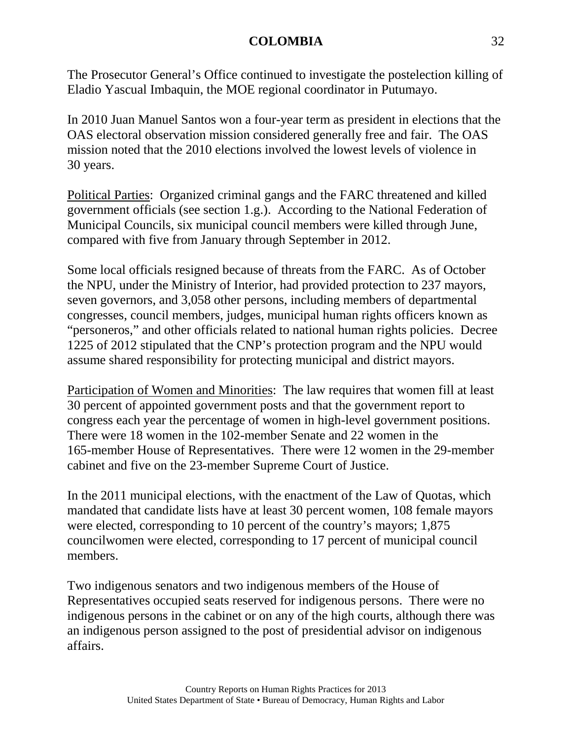The Prosecutor General's Office continued to investigate the postelection killing of Eladio Yascual Imbaquin, the MOE regional coordinator in Putumayo.

In 2010 Juan Manuel Santos won a four-year term as president in elections that the OAS electoral observation mission considered generally free and fair. The OAS mission noted that the 2010 elections involved the lowest levels of violence in 30 years.

Political Parties: Organized criminal gangs and the FARC threatened and killed government officials (see section 1.g.). According to the National Federation of Municipal Councils, six municipal council members were killed through June, compared with five from January through September in 2012.

Some local officials resigned because of threats from the FARC. As of October the NPU, under the Ministry of Interior, had provided protection to 237 mayors, seven governors, and 3,058 other persons, including members of departmental congresses, council members, judges, municipal human rights officers known as "personeros," and other officials related to national human rights policies. Decree 1225 of 2012 stipulated that the CNP's protection program and the NPU would assume shared responsibility for protecting municipal and district mayors.

Participation of Women and Minorities: The law requires that women fill at least 30 percent of appointed government posts and that the government report to congress each year the percentage of women in high-level government positions. There were 18 women in the 102-member Senate and 22 women in the 165-member House of Representatives. There were 12 women in the 29-member cabinet and five on the 23-member Supreme Court of Justice.

In the 2011 municipal elections, with the enactment of the Law of Quotas, which mandated that candidate lists have at least 30 percent women, 108 female mayors were elected, corresponding to 10 percent of the country's mayors; 1,875 councilwomen were elected, corresponding to 17 percent of municipal council members.

Two indigenous senators and two indigenous members of the House of Representatives occupied seats reserved for indigenous persons. There were no indigenous persons in the cabinet or on any of the high courts, although there was an indigenous person assigned to the post of presidential advisor on indigenous affairs.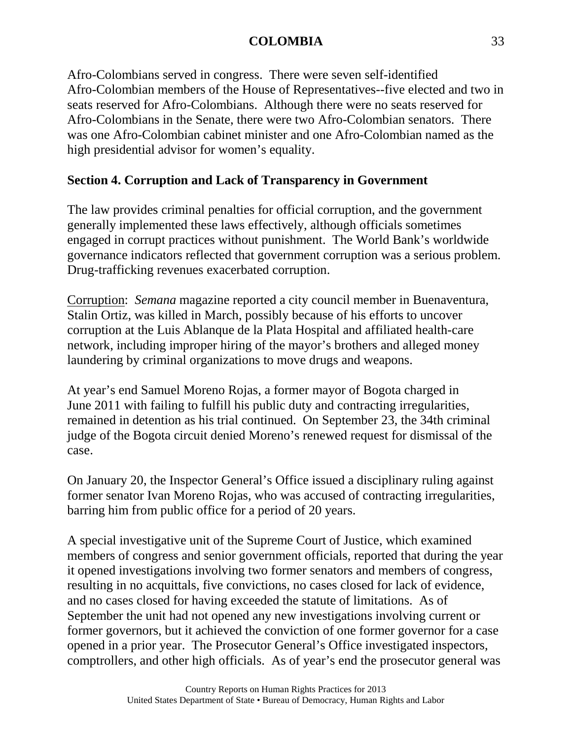Afro-Colombians served in congress. There were seven self-identified Afro-Colombian members of the House of Representatives--five elected and two in seats reserved for Afro-Colombians. Although there were no seats reserved for Afro-Colombians in the Senate, there were two Afro-Colombian senators. There was one Afro-Colombian cabinet minister and one Afro-Colombian named as the high presidential advisor for women's equality.

# **Section 4. Corruption and Lack of Transparency in Government**

The law provides criminal penalties for official corruption, and the government generally implemented these laws effectively, although officials sometimes engaged in corrupt practices without punishment. The World Bank's worldwide governance indicators reflected that government corruption was a serious problem. Drug-trafficking revenues exacerbated corruption.

Corruption: *Semana* magazine reported a city council member in Buenaventura, Stalin Ortiz, was killed in March, possibly because of his efforts to uncover corruption at the Luis Ablanque de la Plata Hospital and affiliated health-care network, including improper hiring of the mayor's brothers and alleged money laundering by criminal organizations to move drugs and weapons.

At year's end Samuel Moreno Rojas, a former mayor of Bogota charged in June 2011 with failing to fulfill his public duty and contracting irregularities, remained in detention as his trial continued. On September 23, the 34th criminal judge of the Bogota circuit denied Moreno's renewed request for dismissal of the case.

On January 20, the Inspector General's Office issued a disciplinary ruling against former senator Ivan Moreno Rojas, who was accused of contracting irregularities, barring him from public office for a period of 20 years.

A special investigative unit of the Supreme Court of Justice, which examined members of congress and senior government officials, reported that during the year it opened investigations involving two former senators and members of congress, resulting in no acquittals, five convictions, no cases closed for lack of evidence, and no cases closed for having exceeded the statute of limitations. As of September the unit had not opened any new investigations involving current or former governors, but it achieved the conviction of one former governor for a case opened in a prior year. The Prosecutor General's Office investigated inspectors, comptrollers, and other high officials. As of year's end the prosecutor general was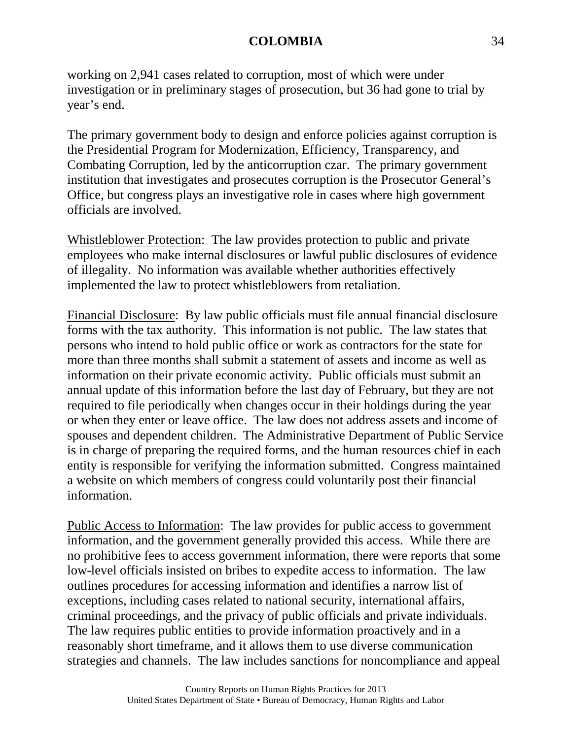working on 2,941 cases related to corruption, most of which were under investigation or in preliminary stages of prosecution, but 36 had gone to trial by year's end.

The primary government body to design and enforce policies against corruption is the Presidential Program for Modernization, Efficiency, Transparency, and Combating Corruption, led by the anticorruption czar. The primary government institution that investigates and prosecutes corruption is the Prosecutor General's Office, but congress plays an investigative role in cases where high government officials are involved.

Whistleblower Protection: The law provides protection to public and private employees who make internal disclosures or lawful public disclosures of evidence of illegality. No information was available whether authorities effectively implemented the law to protect whistleblowers from retaliation.

Financial Disclosure: By law public officials must file annual financial disclosure forms with the tax authority. This information is not public. The law states that persons who intend to hold public office or work as contractors for the state for more than three months shall submit a statement of assets and income as well as information on their private economic activity. Public officials must submit an annual update of this information before the last day of February, but they are not required to file periodically when changes occur in their holdings during the year or when they enter or leave office. The law does not address assets and income of spouses and dependent children. The Administrative Department of Public Service is in charge of preparing the required forms, and the human resources chief in each entity is responsible for verifying the information submitted. Congress maintained a website on which members of congress could voluntarily post their financial information.

Public Access to Information: The law provides for public access to government information, and the government generally provided this access. While there are no prohibitive fees to access government information, there were reports that some low-level officials insisted on bribes to expedite access to information. The law outlines procedures for accessing information and identifies a narrow list of exceptions, including cases related to national security, international affairs, criminal proceedings, and the privacy of public officials and private individuals. The law requires public entities to provide information proactively and in a reasonably short timeframe, and it allows them to use diverse communication strategies and channels. The law includes sanctions for noncompliance and appeal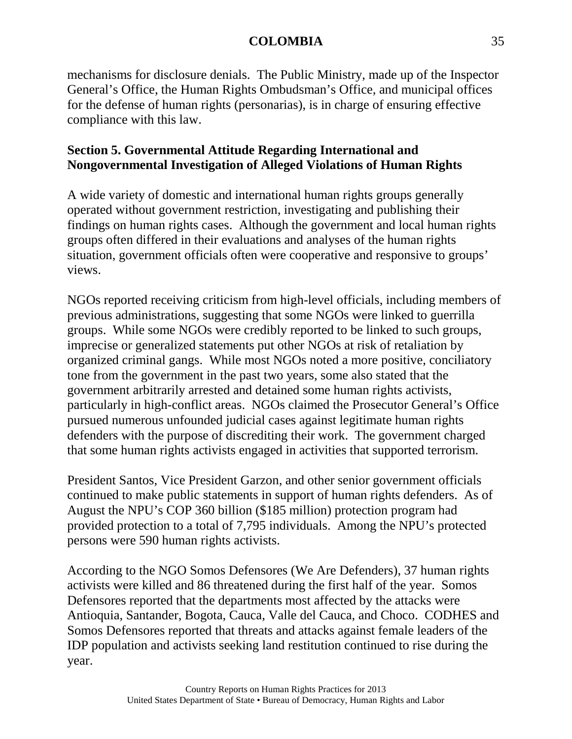mechanisms for disclosure denials. The Public Ministry, made up of the Inspector General's Office, the Human Rights Ombudsman's Office, and municipal offices for the defense of human rights (personarias), is in charge of ensuring effective compliance with this law.

# **Section 5. Governmental Attitude Regarding International and Nongovernmental Investigation of Alleged Violations of Human Rights**

A wide variety of domestic and international human rights groups generally operated without government restriction, investigating and publishing their findings on human rights cases. Although the government and local human rights groups often differed in their evaluations and analyses of the human rights situation, government officials often were cooperative and responsive to groups' views.

NGOs reported receiving criticism from high-level officials, including members of previous administrations, suggesting that some NGOs were linked to guerrilla groups. While some NGOs were credibly reported to be linked to such groups, imprecise or generalized statements put other NGOs at risk of retaliation by organized criminal gangs. While most NGOs noted a more positive, conciliatory tone from the government in the past two years, some also stated that the government arbitrarily arrested and detained some human rights activists, particularly in high-conflict areas. NGOs claimed the Prosecutor General's Office pursued numerous unfounded judicial cases against legitimate human rights defenders with the purpose of discrediting their work. The government charged that some human rights activists engaged in activities that supported terrorism.

President Santos, Vice President Garzon, and other senior government officials continued to make public statements in support of human rights defenders. As of August the NPU's COP 360 billion (\$185 million) protection program had provided protection to a total of 7,795 individuals. Among the NPU's protected persons were 590 human rights activists.

According to the NGO Somos Defensores (We Are Defenders), 37 human rights activists were killed and 86 threatened during the first half of the year. Somos Defensores reported that the departments most affected by the attacks were Antioquia, Santander, Bogota, Cauca, Valle del Cauca, and Choco. CODHES and Somos Defensores reported that threats and attacks against female leaders of the IDP population and activists seeking land restitution continued to rise during the year.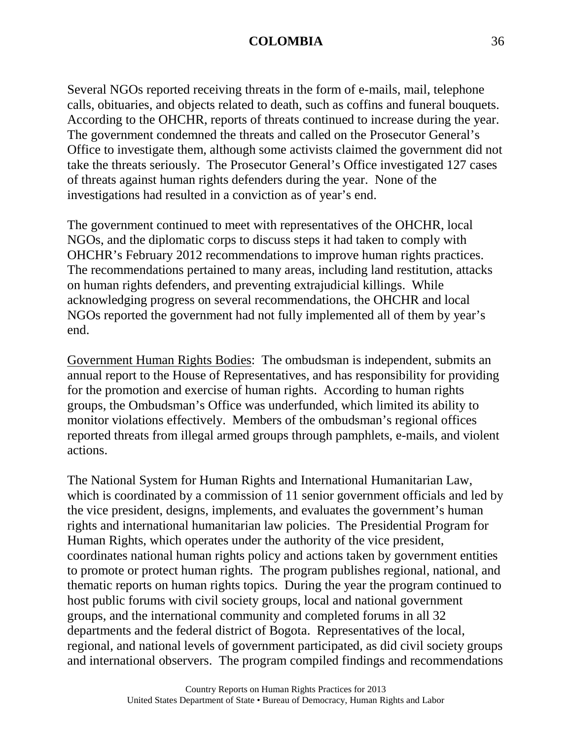Several NGOs reported receiving threats in the form of e-mails, mail, telephone calls, obituaries, and objects related to death, such as coffins and funeral bouquets. According to the OHCHR, reports of threats continued to increase during the year. The government condemned the threats and called on the Prosecutor General's Office to investigate them, although some activists claimed the government did not take the threats seriously. The Prosecutor General's Office investigated 127 cases of threats against human rights defenders during the year. None of the investigations had resulted in a conviction as of year's end.

The government continued to meet with representatives of the OHCHR, local NGOs, and the diplomatic corps to discuss steps it had taken to comply with OHCHR's February 2012 recommendations to improve human rights practices. The recommendations pertained to many areas, including land restitution, attacks on human rights defenders, and preventing extrajudicial killings. While acknowledging progress on several recommendations, the OHCHR and local NGOs reported the government had not fully implemented all of them by year's end.

Government Human Rights Bodies: The ombudsman is independent, submits an annual report to the House of Representatives, and has responsibility for providing for the promotion and exercise of human rights. According to human rights groups, the Ombudsman's Office was underfunded, which limited its ability to monitor violations effectively. Members of the ombudsman's regional offices reported threats from illegal armed groups through pamphlets, e-mails, and violent actions.

The National System for Human Rights and International Humanitarian Law, which is coordinated by a commission of 11 senior government officials and led by the vice president, designs, implements, and evaluates the government's human rights and international humanitarian law policies. The Presidential Program for Human Rights, which operates under the authority of the vice president, coordinates national human rights policy and actions taken by government entities to promote or protect human rights. The program publishes regional, national, and thematic reports on human rights topics. During the year the program continued to host public forums with civil society groups, local and national government groups, and the international community and completed forums in all 32 departments and the federal district of Bogota. Representatives of the local, regional, and national levels of government participated, as did civil society groups and international observers. The program compiled findings and recommendations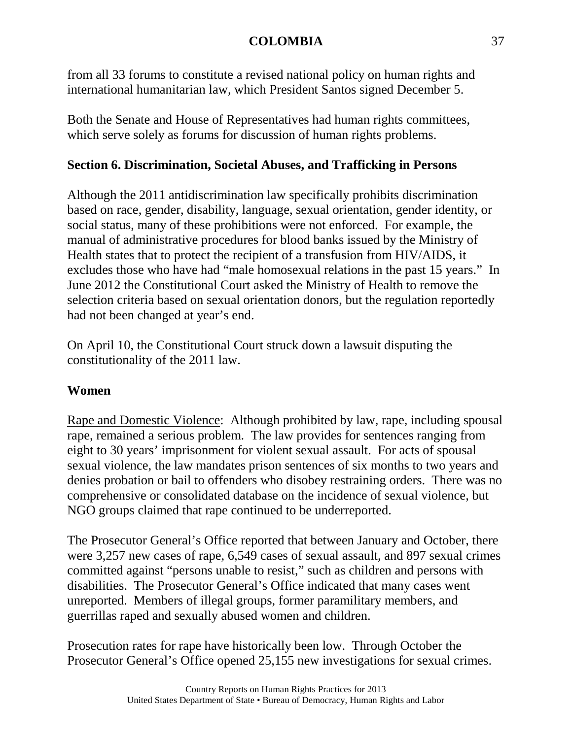from all 33 forums to constitute a revised national policy on human rights and international humanitarian law, which President Santos signed December 5.

Both the Senate and House of Representatives had human rights committees, which serve solely as forums for discussion of human rights problems.

# **Section 6. Discrimination, Societal Abuses, and Trafficking in Persons**

Although the 2011 antidiscrimination law specifically prohibits discrimination based on race, gender, disability, language, sexual orientation, gender identity, or social status, many of these prohibitions were not enforced. For example, the manual of administrative procedures for blood banks issued by the Ministry of Health states that to protect the recipient of a transfusion from HIV/AIDS, it excludes those who have had "male homosexual relations in the past 15 years." In June 2012 the Constitutional Court asked the Ministry of Health to remove the selection criteria based on sexual orientation donors, but the regulation reportedly had not been changed at year's end.

On April 10, the Constitutional Court struck down a lawsuit disputing the constitutionality of the 2011 law.

# **Women**

Rape and Domestic Violence: Although prohibited by law, rape, including spousal rape, remained a serious problem. The law provides for sentences ranging from eight to 30 years' imprisonment for violent sexual assault. For acts of spousal sexual violence, the law mandates prison sentences of six months to two years and denies probation or bail to offenders who disobey restraining orders. There was no comprehensive or consolidated database on the incidence of sexual violence, but NGO groups claimed that rape continued to be underreported.

The Prosecutor General's Office reported that between January and October, there were 3,257 new cases of rape, 6,549 cases of sexual assault, and 897 sexual crimes committed against "persons unable to resist," such as children and persons with disabilities. The Prosecutor General's Office indicated that many cases went unreported. Members of illegal groups, former paramilitary members, and guerrillas raped and sexually abused women and children.

Prosecution rates for rape have historically been low. Through October the Prosecutor General's Office opened 25,155 new investigations for sexual crimes.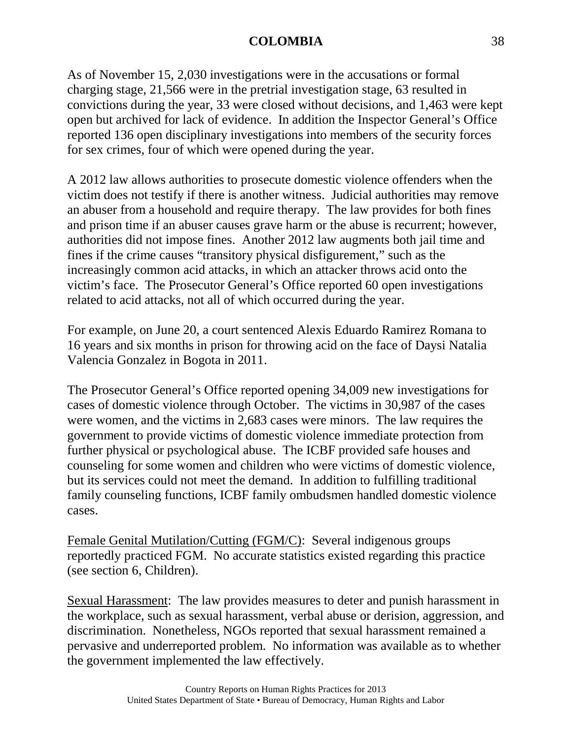As of November 15, 2,030 investigations were in the accusations or formal charging stage, 21,566 were in the pretrial investigation stage, 63 resulted in convictions during the year, 33 were closed without decisions, and 1,463 were kept open but archived for lack of evidence. In addition the Inspector General's Office reported 136 open disciplinary investigations into members of the security forces for sex crimes, four of which were opened during the year.

A 2012 law allows authorities to prosecute domestic violence offenders when the victim does not testify if there is another witness. Judicial authorities may remove an abuser from a household and require therapy. The law provides for both fines and prison time if an abuser causes grave harm or the abuse is recurrent; however, authorities did not impose fines. Another 2012 law augments both jail time and fines if the crime causes "transitory physical disfigurement," such as the increasingly common acid attacks, in which an attacker throws acid onto the victim's face. The Prosecutor General's Office reported 60 open investigations related to acid attacks, not all of which occurred during the year.

For example, on June 20, a court sentenced Alexis Eduardo Ramirez Romana to 16 years and six months in prison for throwing acid on the face of Daysi Natalia Valencia Gonzalez in Bogota in 2011.

The Prosecutor General's Office reported opening 34,009 new investigations for cases of domestic violence through October. The victims in 30,987 of the cases were women, and the victims in 2,683 cases were minors. The law requires the government to provide victims of domestic violence immediate protection from further physical or psychological abuse. The ICBF provided safe houses and counseling for some women and children who were victims of domestic violence, but its services could not meet the demand. In addition to fulfilling traditional family counseling functions, ICBF family ombudsmen handled domestic violence cases.

Female Genital Mutilation/Cutting (FGM/C): Several indigenous groups reportedly practiced FGM. No accurate statistics existed regarding this practice (see section 6, Children).

Sexual Harassment: The law provides measures to deter and punish harassment in the workplace, such as sexual harassment, verbal abuse or derision, aggression, and discrimination. Nonetheless, NGOs reported that sexual harassment remained a pervasive and underreported problem. No information was available as to whether the government implemented the law effectively.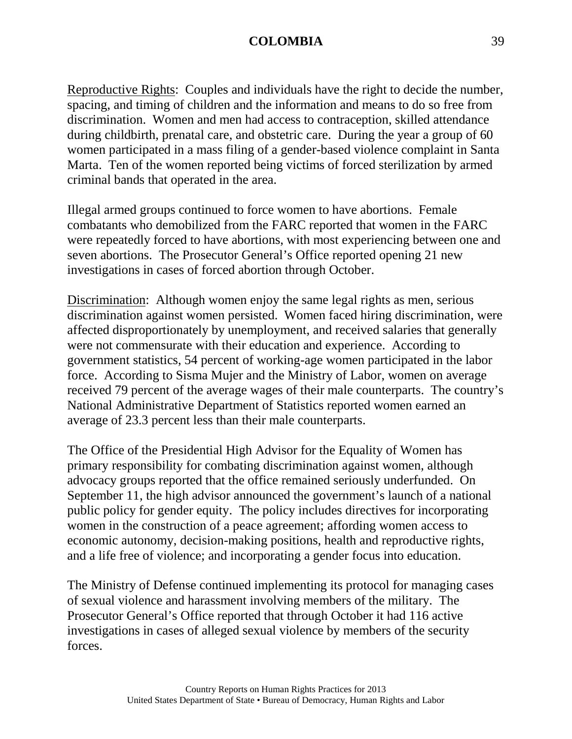Reproductive Rights: Couples and individuals have the right to decide the number, spacing, and timing of children and the information and means to do so free from discrimination. Women and men had access to contraception, skilled attendance during childbirth, prenatal care, and obstetric care. During the year a group of 60 women participated in a mass filing of a gender-based violence complaint in Santa Marta. Ten of the women reported being victims of forced sterilization by armed criminal bands that operated in the area.

Illegal armed groups continued to force women to have abortions. Female combatants who demobilized from the FARC reported that women in the FARC were repeatedly forced to have abortions, with most experiencing between one and seven abortions. The Prosecutor General's Office reported opening 21 new investigations in cases of forced abortion through October.

Discrimination: Although women enjoy the same legal rights as men, serious discrimination against women persisted. Women faced hiring discrimination, were affected disproportionately by unemployment, and received salaries that generally were not commensurate with their education and experience. According to government statistics, 54 percent of working-age women participated in the labor force. According to Sisma Mujer and the Ministry of Labor, women on average received 79 percent of the average wages of their male counterparts. The country's National Administrative Department of Statistics reported women earned an average of 23.3 percent less than their male counterparts.

The Office of the Presidential High Advisor for the Equality of Women has primary responsibility for combating discrimination against women, although advocacy groups reported that the office remained seriously underfunded. On September 11, the high advisor announced the government's launch of a national public policy for gender equity. The policy includes directives for incorporating women in the construction of a peace agreement; affording women access to economic autonomy, decision-making positions, health and reproductive rights, and a life free of violence; and incorporating a gender focus into education.

The Ministry of Defense continued implementing its protocol for managing cases of sexual violence and harassment involving members of the military. The Prosecutor General's Office reported that through October it had 116 active investigations in cases of alleged sexual violence by members of the security forces.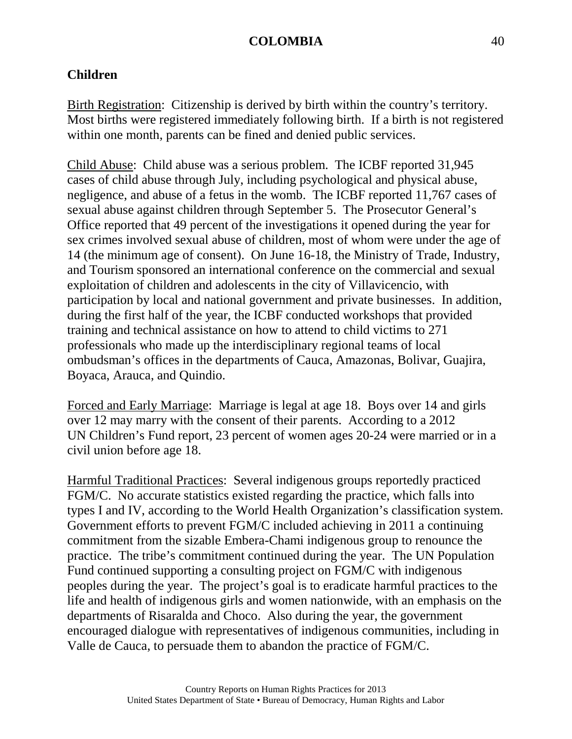# **Children**

Birth Registration: Citizenship is derived by birth within the country's territory. Most births were registered immediately following birth. If a birth is not registered within one month, parents can be fined and denied public services.

Child Abuse: Child abuse was a serious problem. The ICBF reported 31,945 cases of child abuse through July, including psychological and physical abuse, negligence, and abuse of a fetus in the womb. The ICBF reported 11,767 cases of sexual abuse against children through September 5. The Prosecutor General's Office reported that 49 percent of the investigations it opened during the year for sex crimes involved sexual abuse of children, most of whom were under the age of 14 (the minimum age of consent). On June 16-18, the Ministry of Trade, Industry, and Tourism sponsored an international conference on the commercial and sexual exploitation of children and adolescents in the city of Villavicencio, with participation by local and national government and private businesses. In addition, during the first half of the year, the ICBF conducted workshops that provided training and technical assistance on how to attend to child victims to 271 professionals who made up the interdisciplinary regional teams of local ombudsman's offices in the departments of Cauca, Amazonas, Bolivar, Guajira, Boyaca, Arauca, and Quindio.

Forced and Early Marriage: Marriage is legal at age 18. Boys over 14 and girls over 12 may marry with the consent of their parents. According to a 2012 UN Children's Fund report, 23 percent of women ages 20-24 were married or in a civil union before age 18.

Harmful Traditional Practices: Several indigenous groups reportedly practiced FGM/C. No accurate statistics existed regarding the practice, which falls into types I and IV, according to the World Health Organization's classification system. Government efforts to prevent FGM/C included achieving in 2011 a continuing commitment from the sizable Embera-Chami indigenous group to renounce the practice. The tribe's commitment continued during the year. The UN Population Fund continued supporting a consulting project on FGM/C with indigenous peoples during the year. The project's goal is to eradicate harmful practices to the life and health of indigenous girls and women nationwide, with an emphasis on the departments of Risaralda and Choco. Also during the year, the government encouraged dialogue with representatives of indigenous communities, including in Valle de Cauca, to persuade them to abandon the practice of FGM/C.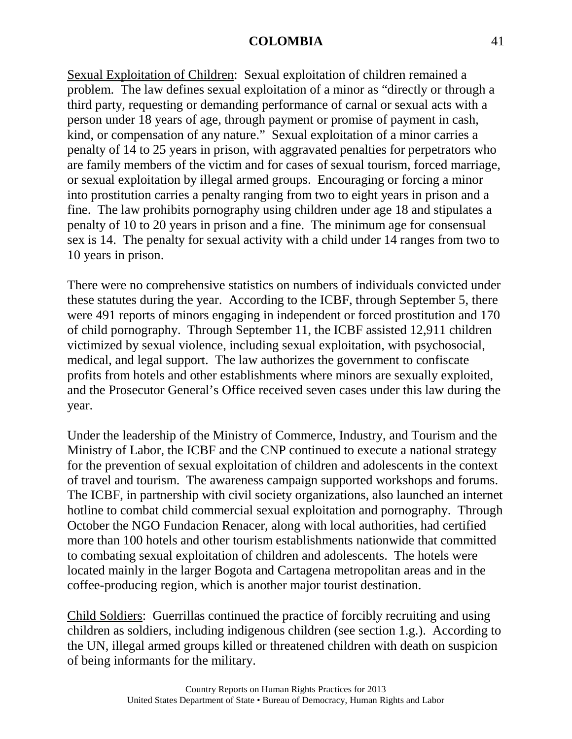Sexual Exploitation of Children: Sexual exploitation of children remained a problem. The law defines sexual exploitation of a minor as "directly or through a third party, requesting or demanding performance of carnal or sexual acts with a person under 18 years of age, through payment or promise of payment in cash, kind, or compensation of any nature." Sexual exploitation of a minor carries a penalty of 14 to 25 years in prison, with aggravated penalties for perpetrators who are family members of the victim and for cases of sexual tourism, forced marriage, or sexual exploitation by illegal armed groups. Encouraging or forcing a minor into prostitution carries a penalty ranging from two to eight years in prison and a fine. The law prohibits pornography using children under age 18 and stipulates a penalty of 10 to 20 years in prison and a fine. The minimum age for consensual sex is 14. The penalty for sexual activity with a child under 14 ranges from two to 10 years in prison.

There were no comprehensive statistics on numbers of individuals convicted under these statutes during the year. According to the ICBF, through September 5, there were 491 reports of minors engaging in independent or forced prostitution and 170 of child pornography. Through September 11, the ICBF assisted 12,911 children victimized by sexual violence, including sexual exploitation, with psychosocial, medical, and legal support. The law authorizes the government to confiscate profits from hotels and other establishments where minors are sexually exploited, and the Prosecutor General's Office received seven cases under this law during the year.

Under the leadership of the Ministry of Commerce, Industry, and Tourism and the Ministry of Labor, the ICBF and the CNP continued to execute a national strategy for the prevention of sexual exploitation of children and adolescents in the context of travel and tourism. The awareness campaign supported workshops and forums. The ICBF, in partnership with civil society organizations, also launched an internet hotline to combat child commercial sexual exploitation and pornography. Through October the NGO Fundacion Renacer, along with local authorities, had certified more than 100 hotels and other tourism establishments nationwide that committed to combating sexual exploitation of children and adolescents. The hotels were located mainly in the larger Bogota and Cartagena metropolitan areas and in the coffee-producing region, which is another major tourist destination.

Child Soldiers: Guerrillas continued the practice of forcibly recruiting and using children as soldiers, including indigenous children (see section 1.g.). According to the UN, illegal armed groups killed or threatened children with death on suspicion of being informants for the military.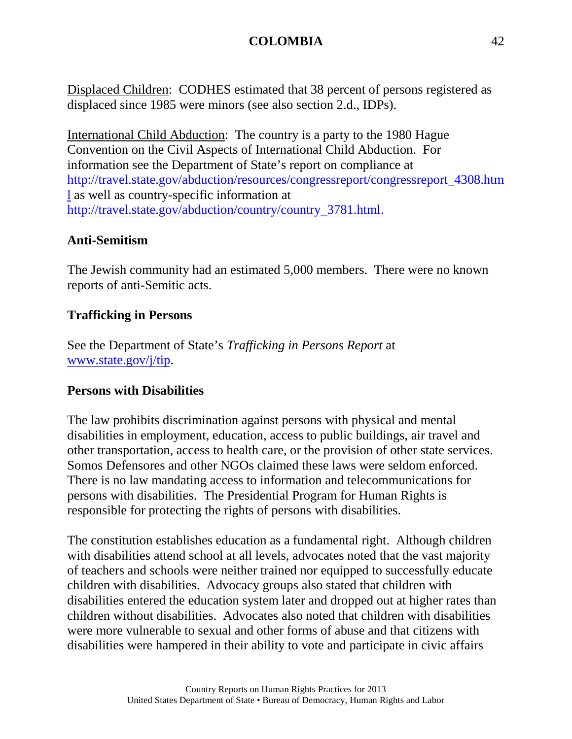Displaced Children: CODHES estimated that 38 percent of persons registered as displaced since 1985 were minors (see also section 2.d., IDPs).

International Child Abduction: The country is a party to the 1980 Hague Convention on the Civil Aspects of International Child Abduction. For information see the Department of State's report on compliance at [http://travel.state.gov/abduction/resources/congressreport/congressreport\\_4308.htm](http://travel.state.gov/abduction/resources/congressreport/congressreport_4308.html) [l](http://travel.state.gov/abduction/resources/congressreport/congressreport_4308.html) as well as country-specific information at [http://travel.state.gov/abduction/country/country\\_3781.html.](http://travel.state.gov/abduction/country/country_3781.html)

# **Anti-Semitism**

The Jewish community had an estimated 5,000 members. There were no known reports of anti-Semitic acts.

## **Trafficking in Persons**

See the Department of State's *Trafficking in Persons Report* at [www.state.gov/j/tip.](http://www.state.gov/j/tip)

### **Persons with Disabilities**

The law prohibits discrimination against persons with physical and mental disabilities in employment, education, access to public buildings, air travel and other transportation, access to health care, or the provision of other state services. Somos Defensores and other NGOs claimed these laws were seldom enforced. There is no law mandating access to information and telecommunications for persons with disabilities. The Presidential Program for Human Rights is responsible for protecting the rights of persons with disabilities.

The constitution establishes education as a fundamental right. Although children with disabilities attend school at all levels, advocates noted that the vast majority of teachers and schools were neither trained nor equipped to successfully educate children with disabilities. Advocacy groups also stated that children with disabilities entered the education system later and dropped out at higher rates than children without disabilities. Advocates also noted that children with disabilities were more vulnerable to sexual and other forms of abuse and that citizens with disabilities were hampered in their ability to vote and participate in civic affairs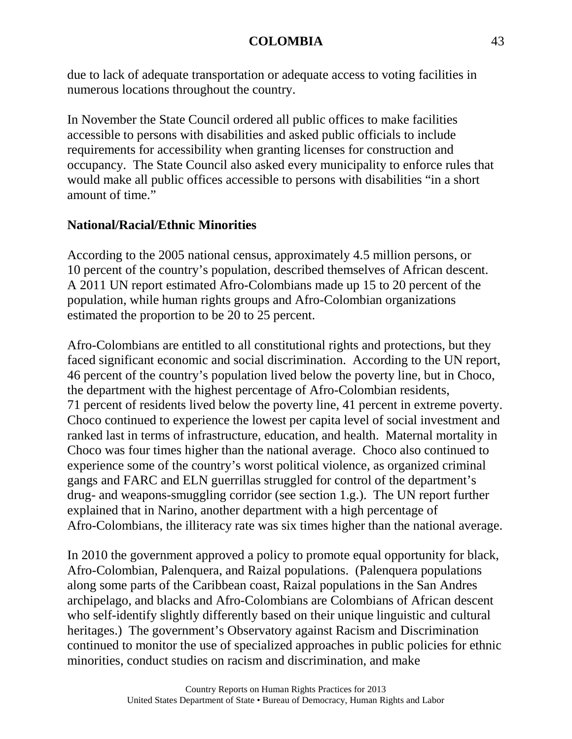due to lack of adequate transportation or adequate access to voting facilities in numerous locations throughout the country.

In November the State Council ordered all public offices to make facilities accessible to persons with disabilities and asked public officials to include requirements for accessibility when granting licenses for construction and occupancy. The State Council also asked every municipality to enforce rules that would make all public offices accessible to persons with disabilities "in a short amount of time."

# **National/Racial/Ethnic Minorities**

According to the 2005 national census, approximately 4.5 million persons, or 10 percent of the country's population, described themselves of African descent. A 2011 UN report estimated Afro-Colombians made up 15 to 20 percent of the population, while human rights groups and Afro-Colombian organizations estimated the proportion to be 20 to 25 percent.

Afro-Colombians are entitled to all constitutional rights and protections, but they faced significant economic and social discrimination. According to the UN report, 46 percent of the country's population lived below the poverty line, but in Choco, the department with the highest percentage of Afro-Colombian residents, 71 percent of residents lived below the poverty line, 41 percent in extreme poverty. Choco continued to experience the lowest per capita level of social investment and ranked last in terms of infrastructure, education, and health. Maternal mortality in Choco was four times higher than the national average. Choco also continued to experience some of the country's worst political violence, as organized criminal gangs and FARC and ELN guerrillas struggled for control of the department's drug- and weapons-smuggling corridor (see section 1.g.). The UN report further explained that in Narino, another department with a high percentage of Afro-Colombians, the illiteracy rate was six times higher than the national average.

In 2010 the government approved a policy to promote equal opportunity for black, Afro-Colombian, Palenquera, and Raizal populations. (Palenquera populations along some parts of the Caribbean coast, Raizal populations in the San Andres archipelago, and blacks and Afro-Colombians are Colombians of African descent who self-identify slightly differently based on their unique linguistic and cultural heritages.) The government's Observatory against Racism and Discrimination continued to monitor the use of specialized approaches in public policies for ethnic minorities, conduct studies on racism and discrimination, and make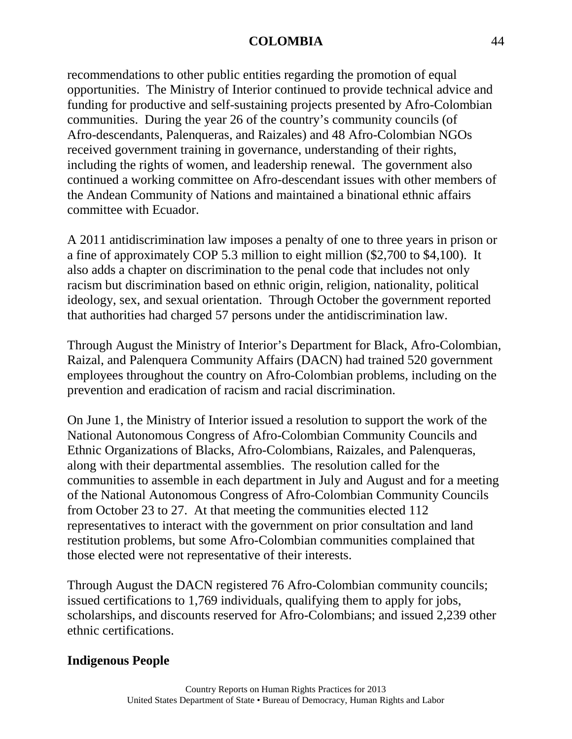recommendations to other public entities regarding the promotion of equal opportunities. The Ministry of Interior continued to provide technical advice and funding for productive and self-sustaining projects presented by Afro-Colombian communities. During the year 26 of the country's community councils (of Afro-descendants, Palenqueras, and Raizales) and 48 Afro-Colombian NGOs received government training in governance, understanding of their rights, including the rights of women, and leadership renewal. The government also continued a working committee on Afro-descendant issues with other members of the Andean Community of Nations and maintained a binational ethnic affairs committee with Ecuador.

A 2011 antidiscrimination law imposes a penalty of one to three years in prison or a fine of approximately COP 5.3 million to eight million (\$2,700 to \$4,100). It also adds a chapter on discrimination to the penal code that includes not only racism but discrimination based on ethnic origin, religion, nationality, political ideology, sex, and sexual orientation. Through October the government reported that authorities had charged 57 persons under the antidiscrimination law.

Through August the Ministry of Interior's Department for Black, Afro-Colombian, Raizal, and Palenquera Community Affairs (DACN) had trained 520 government employees throughout the country on Afro-Colombian problems, including on the prevention and eradication of racism and racial discrimination.

On June 1, the Ministry of Interior issued a resolution to support the work of the National Autonomous Congress of Afro-Colombian Community Councils and Ethnic Organizations of Blacks, Afro-Colombians, Raizales, and Palenqueras, along with their departmental assemblies. The resolution called for the communities to assemble in each department in July and August and for a meeting of the National Autonomous Congress of Afro-Colombian Community Councils from October 23 to 27. At that meeting the communities elected 112 representatives to interact with the government on prior consultation and land restitution problems, but some Afro-Colombian communities complained that those elected were not representative of their interests.

Through August the DACN registered 76 Afro-Colombian community councils; issued certifications to 1,769 individuals, qualifying them to apply for jobs, scholarships, and discounts reserved for Afro-Colombians; and issued 2,239 other ethnic certifications.

# **Indigenous People**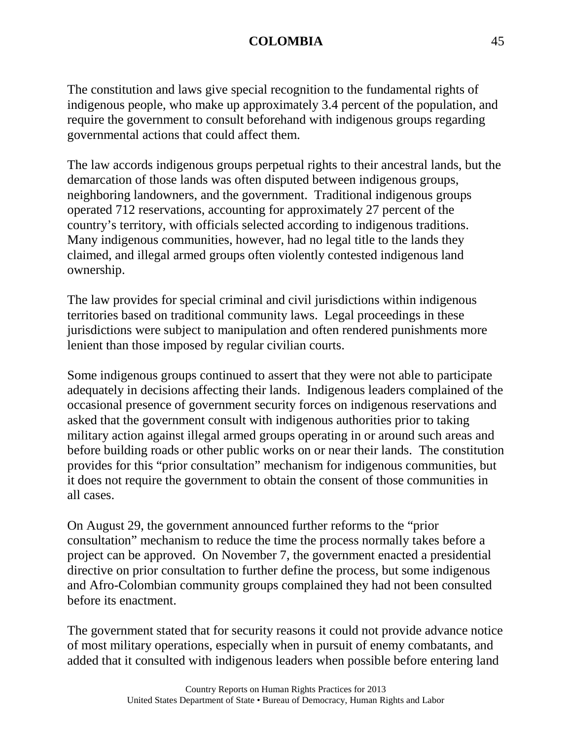The constitution and laws give special recognition to the fundamental rights of indigenous people, who make up approximately 3.4 percent of the population, and require the government to consult beforehand with indigenous groups regarding governmental actions that could affect them.

The law accords indigenous groups perpetual rights to their ancestral lands, but the demarcation of those lands was often disputed between indigenous groups, neighboring landowners, and the government. Traditional indigenous groups operated 712 reservations, accounting for approximately 27 percent of the country's territory, with officials selected according to indigenous traditions. Many indigenous communities, however, had no legal title to the lands they claimed, and illegal armed groups often violently contested indigenous land ownership.

The law provides for special criminal and civil jurisdictions within indigenous territories based on traditional community laws. Legal proceedings in these jurisdictions were subject to manipulation and often rendered punishments more lenient than those imposed by regular civilian courts.

Some indigenous groups continued to assert that they were not able to participate adequately in decisions affecting their lands. Indigenous leaders complained of the occasional presence of government security forces on indigenous reservations and asked that the government consult with indigenous authorities prior to taking military action against illegal armed groups operating in or around such areas and before building roads or other public works on or near their lands. The constitution provides for this "prior consultation" mechanism for indigenous communities, but it does not require the government to obtain the consent of those communities in all cases.

On August 29, the government announced further reforms to the "prior consultation" mechanism to reduce the time the process normally takes before a project can be approved. On November 7, the government enacted a presidential directive on prior consultation to further define the process, but some indigenous and Afro-Colombian community groups complained they had not been consulted before its enactment.

The government stated that for security reasons it could not provide advance notice of most military operations, especially when in pursuit of enemy combatants, and added that it consulted with indigenous leaders when possible before entering land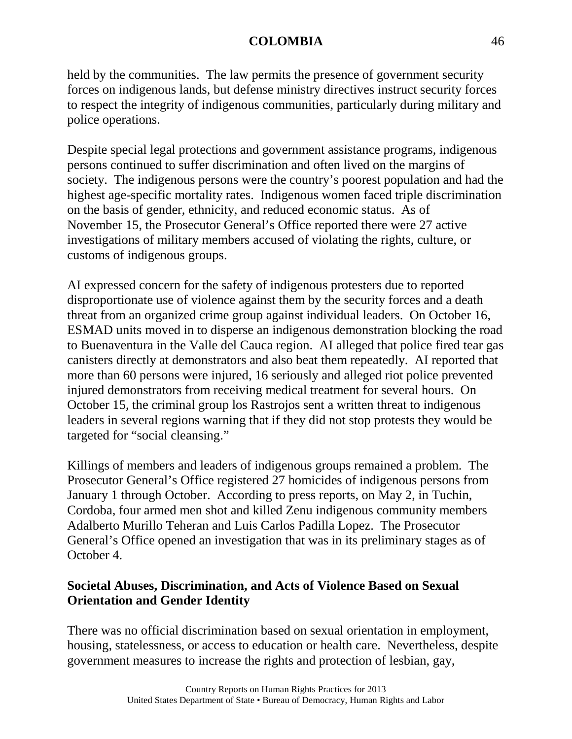held by the communities. The law permits the presence of government security forces on indigenous lands, but defense ministry directives instruct security forces to respect the integrity of indigenous communities, particularly during military and police operations.

Despite special legal protections and government assistance programs, indigenous persons continued to suffer discrimination and often lived on the margins of society. The indigenous persons were the country's poorest population and had the highest age-specific mortality rates. Indigenous women faced triple discrimination on the basis of gender, ethnicity, and reduced economic status. As of November 15, the Prosecutor General's Office reported there were 27 active investigations of military members accused of violating the rights, culture, or customs of indigenous groups.

AI expressed concern for the safety of indigenous protesters due to reported disproportionate use of violence against them by the security forces and a death threat from an organized crime group against individual leaders. On October 16, ESMAD units moved in to disperse an indigenous demonstration blocking the road to Buenaventura in the Valle del Cauca region. AI alleged that police fired tear gas canisters directly at demonstrators and also beat them repeatedly. AI reported that more than 60 persons were injured, 16 seriously and alleged riot police prevented injured demonstrators from receiving medical treatment for several hours. On October 15, the criminal group los Rastrojos sent a written threat to indigenous leaders in several regions warning that if they did not stop protests they would be targeted for "social cleansing."

Killings of members and leaders of indigenous groups remained a problem. The Prosecutor General's Office registered 27 homicides of indigenous persons from January 1 through October. According to press reports, on May 2, in Tuchin, Cordoba, four armed men shot and killed Zenu indigenous community members Adalberto Murillo Teheran and Luis Carlos Padilla Lopez. The Prosecutor General's Office opened an investigation that was in its preliminary stages as of October 4.

# **Societal Abuses, Discrimination, and Acts of Violence Based on Sexual Orientation and Gender Identity**

There was no official discrimination based on sexual orientation in employment, housing, statelessness, or access to education or health care. Nevertheless, despite government measures to increase the rights and protection of lesbian, gay,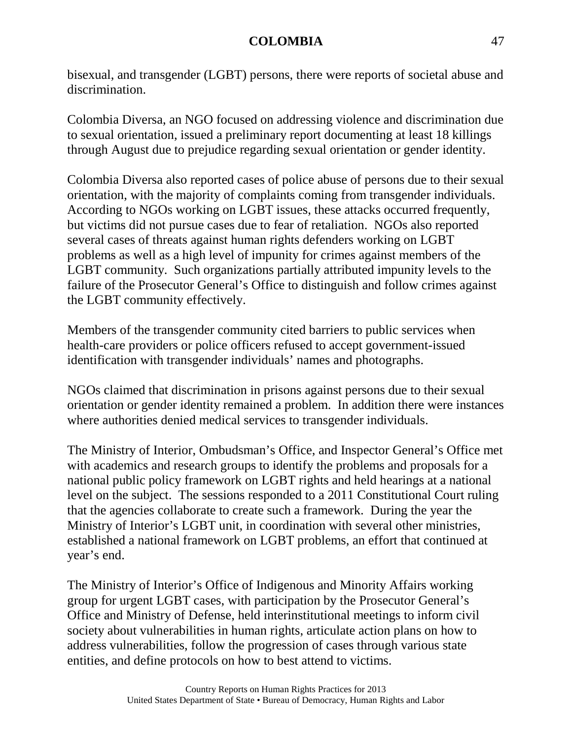bisexual, and transgender (LGBT) persons, there were reports of societal abuse and discrimination.

Colombia Diversa, an NGO focused on addressing violence and discrimination due to sexual orientation, issued a preliminary report documenting at least 18 killings through August due to prejudice regarding sexual orientation or gender identity.

Colombia Diversa also reported cases of police abuse of persons due to their sexual orientation, with the majority of complaints coming from transgender individuals. According to NGOs working on LGBT issues, these attacks occurred frequently, but victims did not pursue cases due to fear of retaliation. NGOs also reported several cases of threats against human rights defenders working on LGBT problems as well as a high level of impunity for crimes against members of the LGBT community. Such organizations partially attributed impunity levels to the failure of the Prosecutor General's Office to distinguish and follow crimes against the LGBT community effectively.

Members of the transgender community cited barriers to public services when health-care providers or police officers refused to accept government-issued identification with transgender individuals' names and photographs.

NGOs claimed that discrimination in prisons against persons due to their sexual orientation or gender identity remained a problem. In addition there were instances where authorities denied medical services to transgender individuals.

The Ministry of Interior, Ombudsman's Office, and Inspector General's Office met with academics and research groups to identify the problems and proposals for a national public policy framework on LGBT rights and held hearings at a national level on the subject. The sessions responded to a 2011 Constitutional Court ruling that the agencies collaborate to create such a framework. During the year the Ministry of Interior's LGBT unit, in coordination with several other ministries, established a national framework on LGBT problems, an effort that continued at year's end.

The Ministry of Interior's Office of Indigenous and Minority Affairs working group for urgent LGBT cases, with participation by the Prosecutor General's Office and Ministry of Defense, held interinstitutional meetings to inform civil society about vulnerabilities in human rights, articulate action plans on how to address vulnerabilities, follow the progression of cases through various state entities, and define protocols on how to best attend to victims.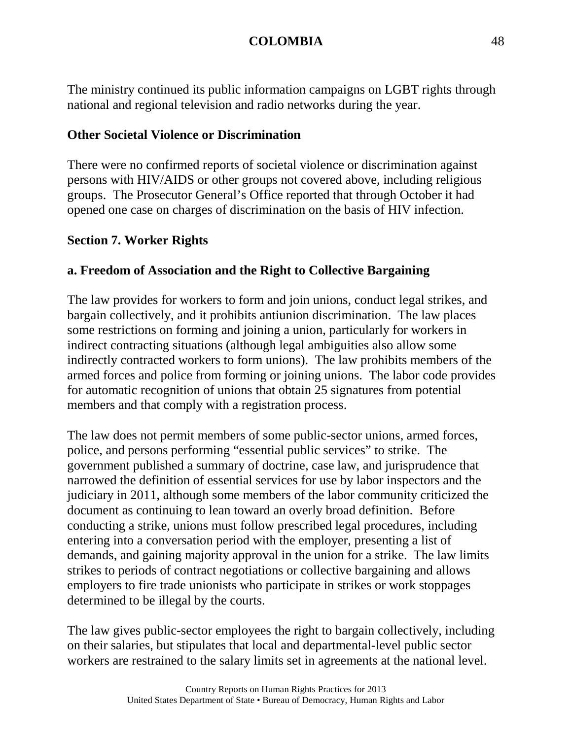The ministry continued its public information campaigns on LGBT rights through national and regional television and radio networks during the year.

## **Other Societal Violence or Discrimination**

There were no confirmed reports of societal violence or discrimination against persons with HIV/AIDS or other groups not covered above, including religious groups. The Prosecutor General's Office reported that through October it had opened one case on charges of discrimination on the basis of HIV infection.

### **Section 7. Worker Rights**

### **a. Freedom of Association and the Right to Collective Bargaining**

The law provides for workers to form and join unions, conduct legal strikes, and bargain collectively, and it prohibits antiunion discrimination. The law places some restrictions on forming and joining a union, particularly for workers in indirect contracting situations (although legal ambiguities also allow some indirectly contracted workers to form unions). The law prohibits members of the armed forces and police from forming or joining unions. The labor code provides for automatic recognition of unions that obtain 25 signatures from potential members and that comply with a registration process.

The law does not permit members of some public-sector unions, armed forces, police, and persons performing "essential public services" to strike. The government published a summary of doctrine, case law, and jurisprudence that narrowed the definition of essential services for use by labor inspectors and the judiciary in 2011, although some members of the labor community criticized the document as continuing to lean toward an overly broad definition. Before conducting a strike, unions must follow prescribed legal procedures, including entering into a conversation period with the employer, presenting a list of demands, and gaining majority approval in the union for a strike. The law limits strikes to periods of contract negotiations or collective bargaining and allows employers to fire trade unionists who participate in strikes or work stoppages determined to be illegal by the courts.

The law gives public-sector employees the right to bargain collectively, including on their salaries, but stipulates that local and departmental-level public sector workers are restrained to the salary limits set in agreements at the national level.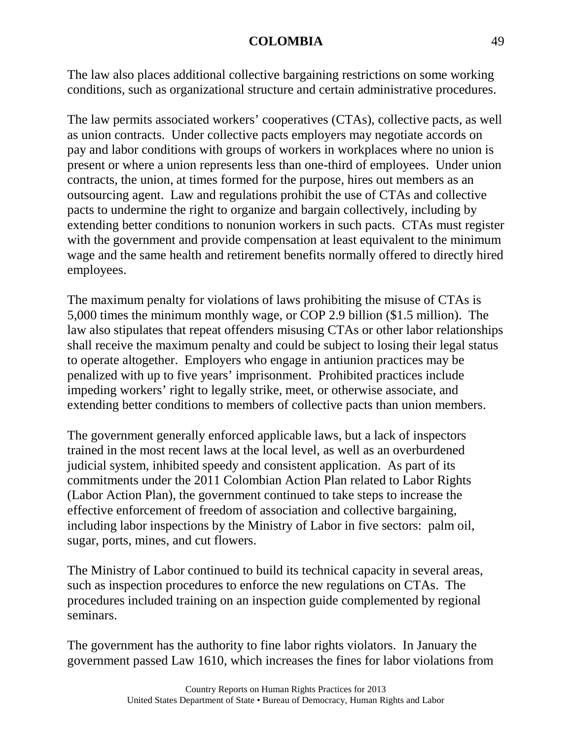The law also places additional collective bargaining restrictions on some working conditions, such as organizational structure and certain administrative procedures.

The law permits associated workers' cooperatives (CTAs), collective pacts, as well as union contracts. Under collective pacts employers may negotiate accords on pay and labor conditions with groups of workers in workplaces where no union is present or where a union represents less than one-third of employees. Under union contracts, the union, at times formed for the purpose, hires out members as an outsourcing agent. Law and regulations prohibit the use of CTAs and collective pacts to undermine the right to organize and bargain collectively, including by extending better conditions to nonunion workers in such pacts. CTAs must register with the government and provide compensation at least equivalent to the minimum wage and the same health and retirement benefits normally offered to directly hired employees.

The maximum penalty for violations of laws prohibiting the misuse of CTAs is 5,000 times the minimum monthly wage, or COP 2.9 billion (\$1.5 million). The law also stipulates that repeat offenders misusing CTAs or other labor relationships shall receive the maximum penalty and could be subject to losing their legal status to operate altogether. Employers who engage in antiunion practices may be penalized with up to five years' imprisonment. Prohibited practices include impeding workers' right to legally strike, meet, or otherwise associate, and extending better conditions to members of collective pacts than union members.

The government generally enforced applicable laws, but a lack of inspectors trained in the most recent laws at the local level, as well as an overburdened judicial system, inhibited speedy and consistent application. As part of its commitments under the 2011 Colombian Action Plan related to Labor Rights (Labor Action Plan), the government continued to take steps to increase the effective enforcement of freedom of association and collective bargaining, including labor inspections by the Ministry of Labor in five sectors: palm oil, sugar, ports, mines, and cut flowers.

The Ministry of Labor continued to build its technical capacity in several areas, such as inspection procedures to enforce the new regulations on CTAs. The procedures included training on an inspection guide complemented by regional seminars.

The government has the authority to fine labor rights violators. In January the government passed Law 1610, which increases the fines for labor violations from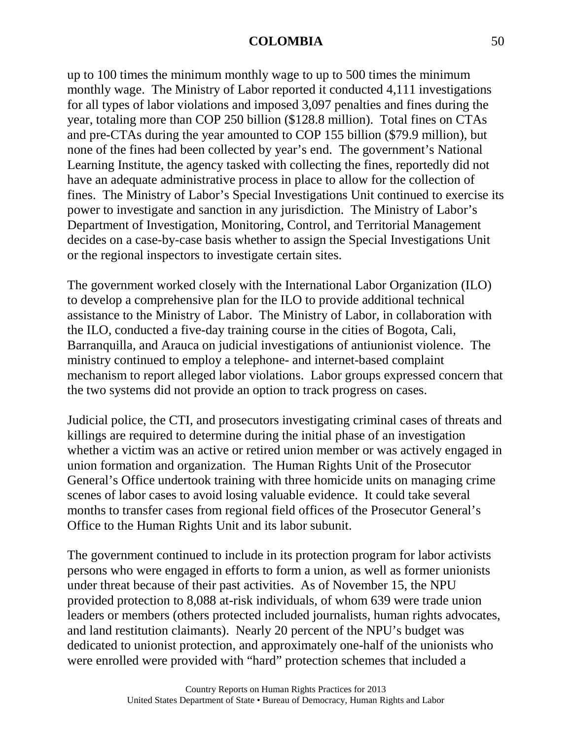up to 100 times the minimum monthly wage to up to 500 times the minimum monthly wage. The Ministry of Labor reported it conducted 4,111 investigations for all types of labor violations and imposed 3,097 penalties and fines during the year, totaling more than COP 250 billion (\$128.8 million). Total fines on CTAs and pre-CTAs during the year amounted to COP 155 billion (\$79.9 million), but none of the fines had been collected by year's end. The government's National Learning Institute, the agency tasked with collecting the fines, reportedly did not have an adequate administrative process in place to allow for the collection of fines. The Ministry of Labor's Special Investigations Unit continued to exercise its power to investigate and sanction in any jurisdiction. The Ministry of Labor's Department of Investigation, Monitoring, Control, and Territorial Management decides on a case-by-case basis whether to assign the Special Investigations Unit or the regional inspectors to investigate certain sites.

The government worked closely with the International Labor Organization (ILO) to develop a comprehensive plan for the ILO to provide additional technical assistance to the Ministry of Labor. The Ministry of Labor, in collaboration with the ILO, conducted a five-day training course in the cities of Bogota, Cali, Barranquilla, and Arauca on judicial investigations of antiunionist violence. The ministry continued to employ a telephone- and internet-based complaint mechanism to report alleged labor violations. Labor groups expressed concern that the two systems did not provide an option to track progress on cases.

Judicial police, the CTI, and prosecutors investigating criminal cases of threats and killings are required to determine during the initial phase of an investigation whether a victim was an active or retired union member or was actively engaged in union formation and organization. The Human Rights Unit of the Prosecutor General's Office undertook training with three homicide units on managing crime scenes of labor cases to avoid losing valuable evidence. It could take several months to transfer cases from regional field offices of the Prosecutor General's Office to the Human Rights Unit and its labor subunit.

The government continued to include in its protection program for labor activists persons who were engaged in efforts to form a union, as well as former unionists under threat because of their past activities. As of November 15, the NPU provided protection to 8,088 at-risk individuals, of whom 639 were trade union leaders or members (others protected included journalists, human rights advocates, and land restitution claimants). Nearly 20 percent of the NPU's budget was dedicated to unionist protection, and approximately one-half of the unionists who were enrolled were provided with "hard" protection schemes that included a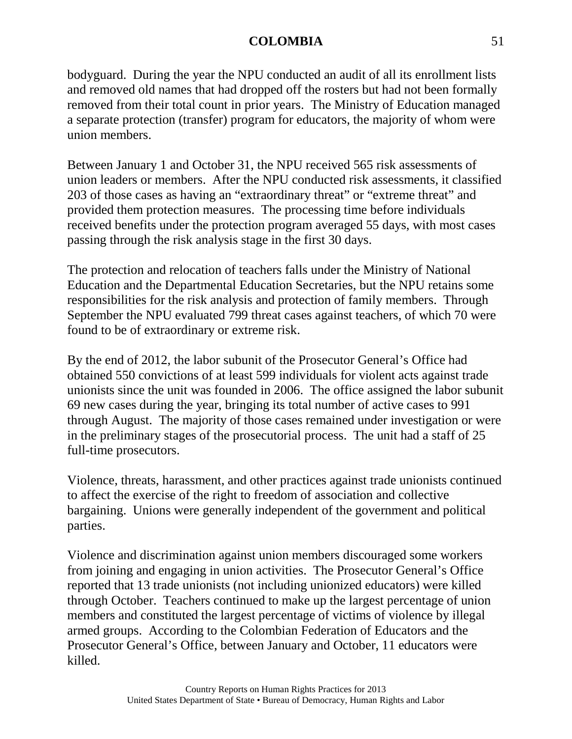bodyguard. During the year the NPU conducted an audit of all its enrollment lists and removed old names that had dropped off the rosters but had not been formally removed from their total count in prior years. The Ministry of Education managed a separate protection (transfer) program for educators, the majority of whom were union members.

Between January 1 and October 31, the NPU received 565 risk assessments of union leaders or members. After the NPU conducted risk assessments, it classified 203 of those cases as having an "extraordinary threat" or "extreme threat" and provided them protection measures. The processing time before individuals received benefits under the protection program averaged 55 days, with most cases passing through the risk analysis stage in the first 30 days.

The protection and relocation of teachers falls under the Ministry of National Education and the Departmental Education Secretaries, but the NPU retains some responsibilities for the risk analysis and protection of family members. Through September the NPU evaluated 799 threat cases against teachers, of which 70 were found to be of extraordinary or extreme risk.

By the end of 2012, the labor subunit of the Prosecutor General's Office had obtained 550 convictions of at least 599 individuals for violent acts against trade unionists since the unit was founded in 2006. The office assigned the labor subunit 69 new cases during the year, bringing its total number of active cases to 991 through August. The majority of those cases remained under investigation or were in the preliminary stages of the prosecutorial process. The unit had a staff of 25 full-time prosecutors.

Violence, threats, harassment, and other practices against trade unionists continued to affect the exercise of the right to freedom of association and collective bargaining. Unions were generally independent of the government and political parties.

Violence and discrimination against union members discouraged some workers from joining and engaging in union activities. The Prosecutor General's Office reported that 13 trade unionists (not including unionized educators) were killed through October. Teachers continued to make up the largest percentage of union members and constituted the largest percentage of victims of violence by illegal armed groups. According to the Colombian Federation of Educators and the Prosecutor General's Office, between January and October, 11 educators were killed.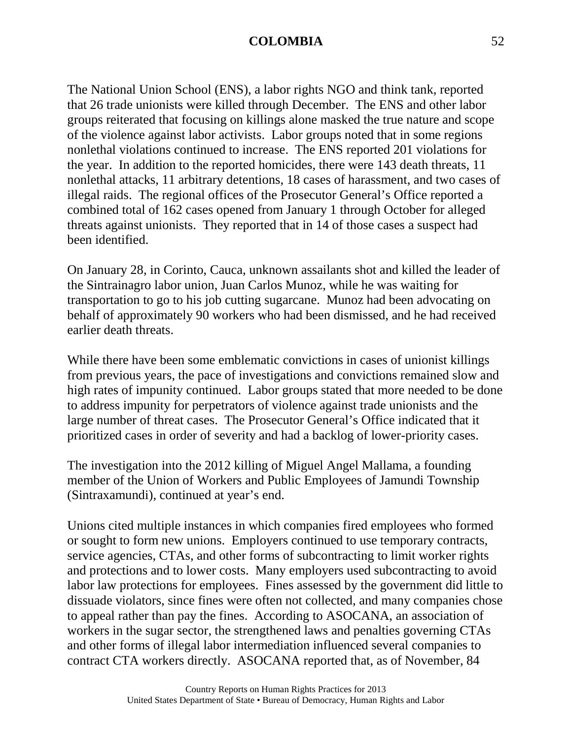The National Union School (ENS), a labor rights NGO and think tank, reported that 26 trade unionists were killed through December. The ENS and other labor groups reiterated that focusing on killings alone masked the true nature and scope of the violence against labor activists. Labor groups noted that in some regions nonlethal violations continued to increase. The ENS reported 201 violations for the year. In addition to the reported homicides, there were 143 death threats, 11 nonlethal attacks, 11 arbitrary detentions, 18 cases of harassment, and two cases of illegal raids. The regional offices of the Prosecutor General's Office reported a combined total of 162 cases opened from January 1 through October for alleged threats against unionists. They reported that in 14 of those cases a suspect had been identified.

On January 28, in Corinto, Cauca, unknown assailants shot and killed the leader of the Sintrainagro labor union, Juan Carlos Munoz, while he was waiting for transportation to go to his job cutting sugarcane. Munoz had been advocating on behalf of approximately 90 workers who had been dismissed, and he had received earlier death threats.

While there have been some emblematic convictions in cases of unionist killings from previous years, the pace of investigations and convictions remained slow and high rates of impunity continued. Labor groups stated that more needed to be done to address impunity for perpetrators of violence against trade unionists and the large number of threat cases. The Prosecutor General's Office indicated that it prioritized cases in order of severity and had a backlog of lower-priority cases.

The investigation into the 2012 killing of Miguel Angel Mallama, a founding member of the Union of Workers and Public Employees of Jamundi Township (Sintraxamundi), continued at year's end.

Unions cited multiple instances in which companies fired employees who formed or sought to form new unions. Employers continued to use temporary contracts, service agencies, CTAs, and other forms of subcontracting to limit worker rights and protections and to lower costs. Many employers used subcontracting to avoid labor law protections for employees. Fines assessed by the government did little to dissuade violators, since fines were often not collected, and many companies chose to appeal rather than pay the fines. According to ASOCANA, an association of workers in the sugar sector, the strengthened laws and penalties governing CTAs and other forms of illegal labor intermediation influenced several companies to contract CTA workers directly. ASOCANA reported that, as of November, 84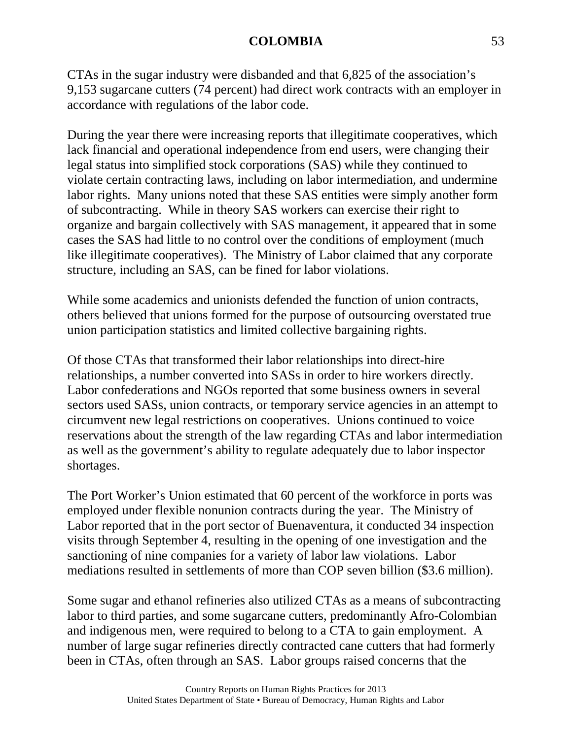CTAs in the sugar industry were disbanded and that 6,825 of the association's 9,153 sugarcane cutters (74 percent) had direct work contracts with an employer in accordance with regulations of the labor code.

During the year there were increasing reports that illegitimate cooperatives, which lack financial and operational independence from end users, were changing their legal status into simplified stock corporations (SAS) while they continued to violate certain contracting laws, including on labor intermediation, and undermine labor rights. Many unions noted that these SAS entities were simply another form of subcontracting. While in theory SAS workers can exercise their right to organize and bargain collectively with SAS management, it appeared that in some cases the SAS had little to no control over the conditions of employment (much like illegitimate cooperatives). The Ministry of Labor claimed that any corporate structure, including an SAS, can be fined for labor violations.

While some academics and unionists defended the function of union contracts, others believed that unions formed for the purpose of outsourcing overstated true union participation statistics and limited collective bargaining rights.

Of those CTAs that transformed their labor relationships into direct-hire relationships, a number converted into SASs in order to hire workers directly. Labor confederations and NGOs reported that some business owners in several sectors used SASs, union contracts, or temporary service agencies in an attempt to circumvent new legal restrictions on cooperatives. Unions continued to voice reservations about the strength of the law regarding CTAs and labor intermediation as well as the government's ability to regulate adequately due to labor inspector shortages.

The Port Worker's Union estimated that 60 percent of the workforce in ports was employed under flexible nonunion contracts during the year. The Ministry of Labor reported that in the port sector of Buenaventura, it conducted 34 inspection visits through September 4, resulting in the opening of one investigation and the sanctioning of nine companies for a variety of labor law violations. Labor mediations resulted in settlements of more than COP seven billion (\$3.6 million).

Some sugar and ethanol refineries also utilized CTAs as a means of subcontracting labor to third parties, and some sugarcane cutters, predominantly Afro-Colombian and indigenous men, were required to belong to a CTA to gain employment. A number of large sugar refineries directly contracted cane cutters that had formerly been in CTAs, often through an SAS. Labor groups raised concerns that the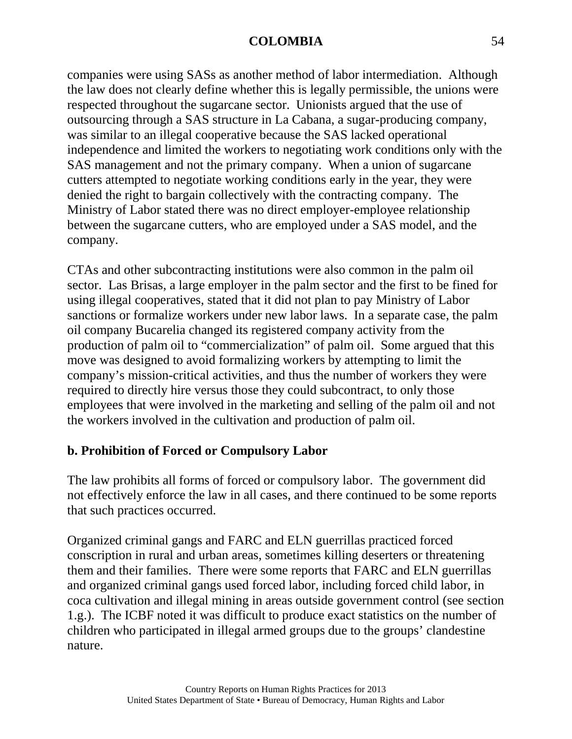companies were using SASs as another method of labor intermediation. Although the law does not clearly define whether this is legally permissible, the unions were respected throughout the sugarcane sector. Unionists argued that the use of outsourcing through a SAS structure in La Cabana, a sugar-producing company, was similar to an illegal cooperative because the SAS lacked operational independence and limited the workers to negotiating work conditions only with the SAS management and not the primary company. When a union of sugarcane cutters attempted to negotiate working conditions early in the year, they were denied the right to bargain collectively with the contracting company. The Ministry of Labor stated there was no direct employer-employee relationship between the sugarcane cutters, who are employed under a SAS model, and the company.

CTAs and other subcontracting institutions were also common in the palm oil sector. Las Brisas, a large employer in the palm sector and the first to be fined for using illegal cooperatives, stated that it did not plan to pay Ministry of Labor sanctions or formalize workers under new labor laws. In a separate case, the palm oil company Bucarelia changed its registered company activity from the production of palm oil to "commercialization" of palm oil. Some argued that this move was designed to avoid formalizing workers by attempting to limit the company's mission-critical activities, and thus the number of workers they were required to directly hire versus those they could subcontract, to only those employees that were involved in the marketing and selling of the palm oil and not the workers involved in the cultivation and production of palm oil.

# **b. Prohibition of Forced or Compulsory Labor**

The law prohibits all forms of forced or compulsory labor. The government did not effectively enforce the law in all cases, and there continued to be some reports that such practices occurred.

Organized criminal gangs and FARC and ELN guerrillas practiced forced conscription in rural and urban areas, sometimes killing deserters or threatening them and their families. There were some reports that FARC and ELN guerrillas and organized criminal gangs used forced labor, including forced child labor, in coca cultivation and illegal mining in areas outside government control (see section 1.g.). The ICBF noted it was difficult to produce exact statistics on the number of children who participated in illegal armed groups due to the groups' clandestine nature.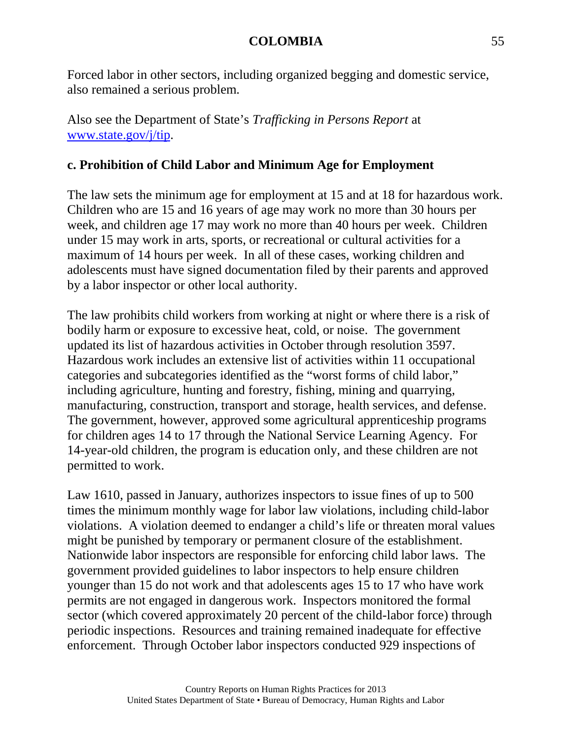Forced labor in other sectors, including organized begging and domestic service, also remained a serious problem.

Also see the Department of State's *Trafficking in Persons Report* at [www.state.gov/j/tip.](http://www.state.gov/j/tip)

# **c. Prohibition of Child Labor and Minimum Age for Employment**

The law sets the minimum age for employment at 15 and at 18 for hazardous work. Children who are 15 and 16 years of age may work no more than 30 hours per week, and children age 17 may work no more than 40 hours per week. Children under 15 may work in arts, sports, or recreational or cultural activities for a maximum of 14 hours per week. In all of these cases, working children and adolescents must have signed documentation filed by their parents and approved by a labor inspector or other local authority.

The law prohibits child workers from working at night or where there is a risk of bodily harm or exposure to excessive heat, cold, or noise. The government updated its list of hazardous activities in October through resolution 3597. Hazardous work includes an extensive list of activities within 11 occupational categories and subcategories identified as the "worst forms of child labor," including agriculture, hunting and forestry, fishing, mining and quarrying, manufacturing, construction, transport and storage, health services, and defense. The government, however, approved some agricultural apprenticeship programs for children ages 14 to 17 through the National Service Learning Agency. For 14-year-old children, the program is education only, and these children are not permitted to work.

Law 1610, passed in January, authorizes inspectors to issue fines of up to 500 times the minimum monthly wage for labor law violations, including child-labor violations. A violation deemed to endanger a child's life or threaten moral values might be punished by temporary or permanent closure of the establishment. Nationwide labor inspectors are responsible for enforcing child labor laws. The government provided guidelines to labor inspectors to help ensure children younger than 15 do not work and that adolescents ages 15 to 17 who have work permits are not engaged in dangerous work. Inspectors monitored the formal sector (which covered approximately 20 percent of the child-labor force) through periodic inspections. Resources and training remained inadequate for effective enforcement. Through October labor inspectors conducted 929 inspections of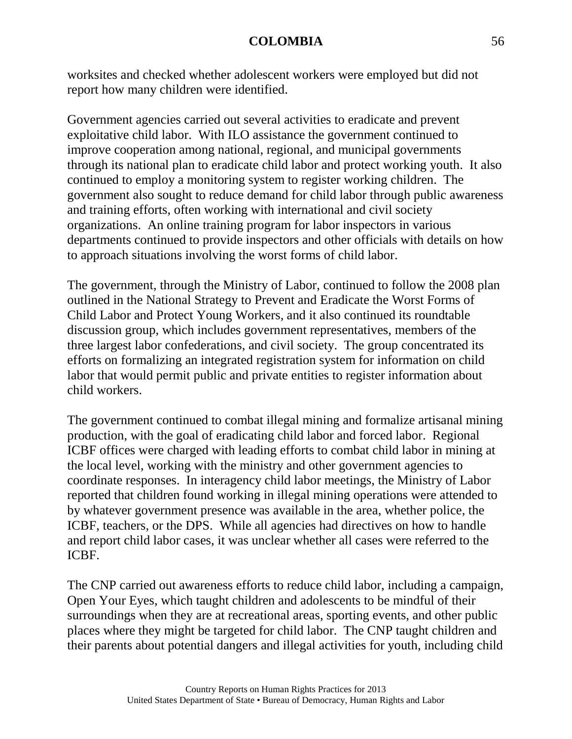worksites and checked whether adolescent workers were employed but did not report how many children were identified.

Government agencies carried out several activities to eradicate and prevent exploitative child labor. With ILO assistance the government continued to improve cooperation among national, regional, and municipal governments through its national plan to eradicate child labor and protect working youth. It also continued to employ a monitoring system to register working children. The government also sought to reduce demand for child labor through public awareness and training efforts, often working with international and civil society organizations. An online training program for labor inspectors in various departments continued to provide inspectors and other officials with details on how to approach situations involving the worst forms of child labor.

The government, through the Ministry of Labor, continued to follow the 2008 plan outlined in the National Strategy to Prevent and Eradicate the Worst Forms of Child Labor and Protect Young Workers, and it also continued its roundtable discussion group, which includes government representatives, members of the three largest labor confederations, and civil society. The group concentrated its efforts on formalizing an integrated registration system for information on child labor that would permit public and private entities to register information about child workers.

The government continued to combat illegal mining and formalize artisanal mining production, with the goal of eradicating child labor and forced labor. Regional ICBF offices were charged with leading efforts to combat child labor in mining at the local level, working with the ministry and other government agencies to coordinate responses. In interagency child labor meetings, the Ministry of Labor reported that children found working in illegal mining operations were attended to by whatever government presence was available in the area, whether police, the ICBF, teachers, or the DPS. While all agencies had directives on how to handle and report child labor cases, it was unclear whether all cases were referred to the ICBF.

The CNP carried out awareness efforts to reduce child labor, including a campaign, Open Your Eyes, which taught children and adolescents to be mindful of their surroundings when they are at recreational areas, sporting events, and other public places where they might be targeted for child labor. The CNP taught children and their parents about potential dangers and illegal activities for youth, including child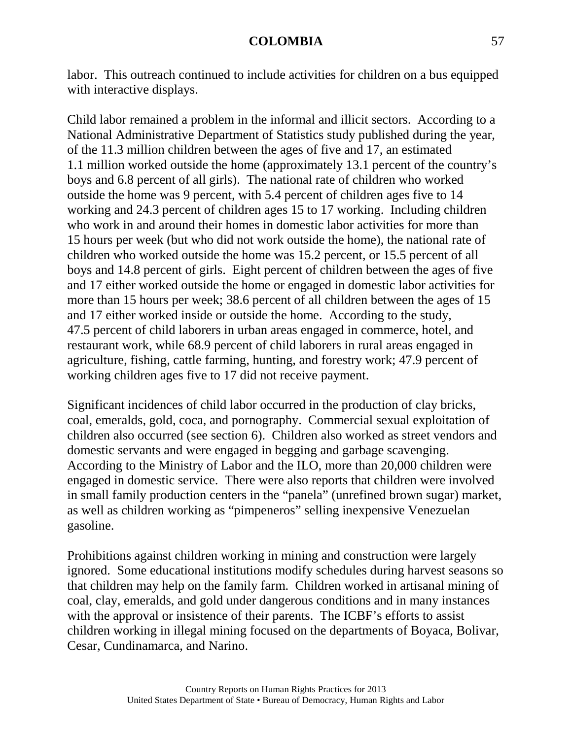labor. This outreach continued to include activities for children on a bus equipped with interactive displays.

Child labor remained a problem in the informal and illicit sectors. According to a National Administrative Department of Statistics study published during the year, of the 11.3 million children between the ages of five and 17, an estimated 1.1 million worked outside the home (approximately 13.1 percent of the country's boys and 6.8 percent of all girls). The national rate of children who worked outside the home was 9 percent, with 5.4 percent of children ages five to 14 working and 24.3 percent of children ages 15 to 17 working. Including children who work in and around their homes in domestic labor activities for more than 15 hours per week (but who did not work outside the home), the national rate of children who worked outside the home was 15.2 percent, or 15.5 percent of all boys and 14.8 percent of girls. Eight percent of children between the ages of five and 17 either worked outside the home or engaged in domestic labor activities for more than 15 hours per week; 38.6 percent of all children between the ages of 15 and 17 either worked inside or outside the home. According to the study, 47.5 percent of child laborers in urban areas engaged in commerce, hotel, and restaurant work, while 68.9 percent of child laborers in rural areas engaged in agriculture, fishing, cattle farming, hunting, and forestry work; 47.9 percent of working children ages five to 17 did not receive payment.

Significant incidences of child labor occurred in the production of clay bricks, coal, emeralds, gold, coca, and pornography. Commercial sexual exploitation of children also occurred (see section 6). Children also worked as street vendors and domestic servants and were engaged in begging and garbage scavenging. According to the Ministry of Labor and the ILO, more than 20,000 children were engaged in domestic service. There were also reports that children were involved in small family production centers in the "panela" (unrefined brown sugar) market, as well as children working as "pimpeneros" selling inexpensive Venezuelan gasoline.

Prohibitions against children working in mining and construction were largely ignored. Some educational institutions modify schedules during harvest seasons so that children may help on the family farm. Children worked in artisanal mining of coal, clay, emeralds, and gold under dangerous conditions and in many instances with the approval or insistence of their parents. The ICBF's efforts to assist children working in illegal mining focused on the departments of Boyaca, Bolivar, Cesar, Cundinamarca, and Narino.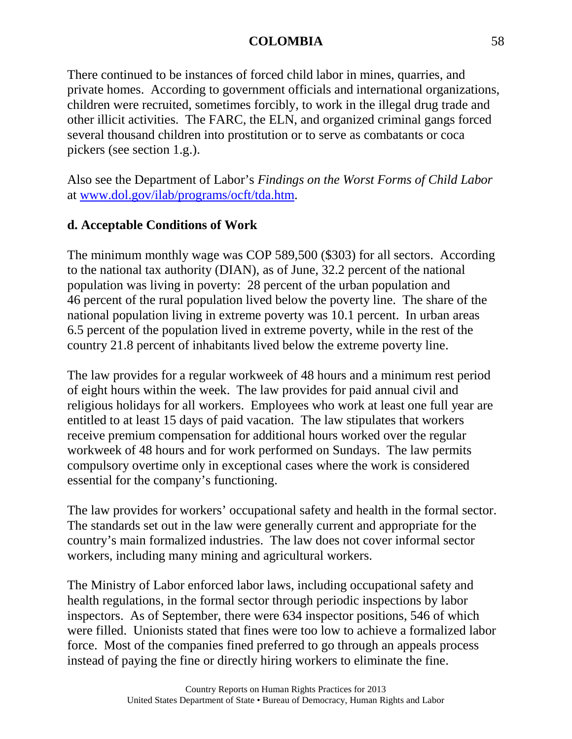There continued to be instances of forced child labor in mines, quarries, and private homes. According to government officials and international organizations, children were recruited, sometimes forcibly, to work in the illegal drug trade and other illicit activities. The FARC, the ELN, and organized criminal gangs forced several thousand children into prostitution or to serve as combatants or coca pickers (see section 1.g.).

Also see the Department of Labor's *Findings on the Worst Forms of Child Labor* at [www.dol.gov/ilab/programs/ocft/tda.htm.](http://www.dol.gov/ilab/programs/ocft/tda.htm)

# **d. Acceptable Conditions of Work**

The minimum monthly wage was COP 589,500 (\$303) for all sectors. According to the national tax authority (DIAN), as of June, 32.2 percent of the national population was living in poverty: 28 percent of the urban population and 46 percent of the rural population lived below the poverty line. The share of the national population living in extreme poverty was 10.1 percent. In urban areas 6.5 percent of the population lived in extreme poverty, while in the rest of the country 21.8 percent of inhabitants lived below the extreme poverty line.

The law provides for a regular workweek of 48 hours and a minimum rest period of eight hours within the week. The law provides for paid annual civil and religious holidays for all workers. Employees who work at least one full year are entitled to at least 15 days of paid vacation. The law stipulates that workers receive premium compensation for additional hours worked over the regular workweek of 48 hours and for work performed on Sundays. The law permits compulsory overtime only in exceptional cases where the work is considered essential for the company's functioning.

The law provides for workers' occupational safety and health in the formal sector. The standards set out in the law were generally current and appropriate for the country's main formalized industries. The law does not cover informal sector workers, including many mining and agricultural workers.

The Ministry of Labor enforced labor laws, including occupational safety and health regulations, in the formal sector through periodic inspections by labor inspectors. As of September, there were 634 inspector positions, 546 of which were filled. Unionists stated that fines were too low to achieve a formalized labor force. Most of the companies fined preferred to go through an appeals process instead of paying the fine or directly hiring workers to eliminate the fine.